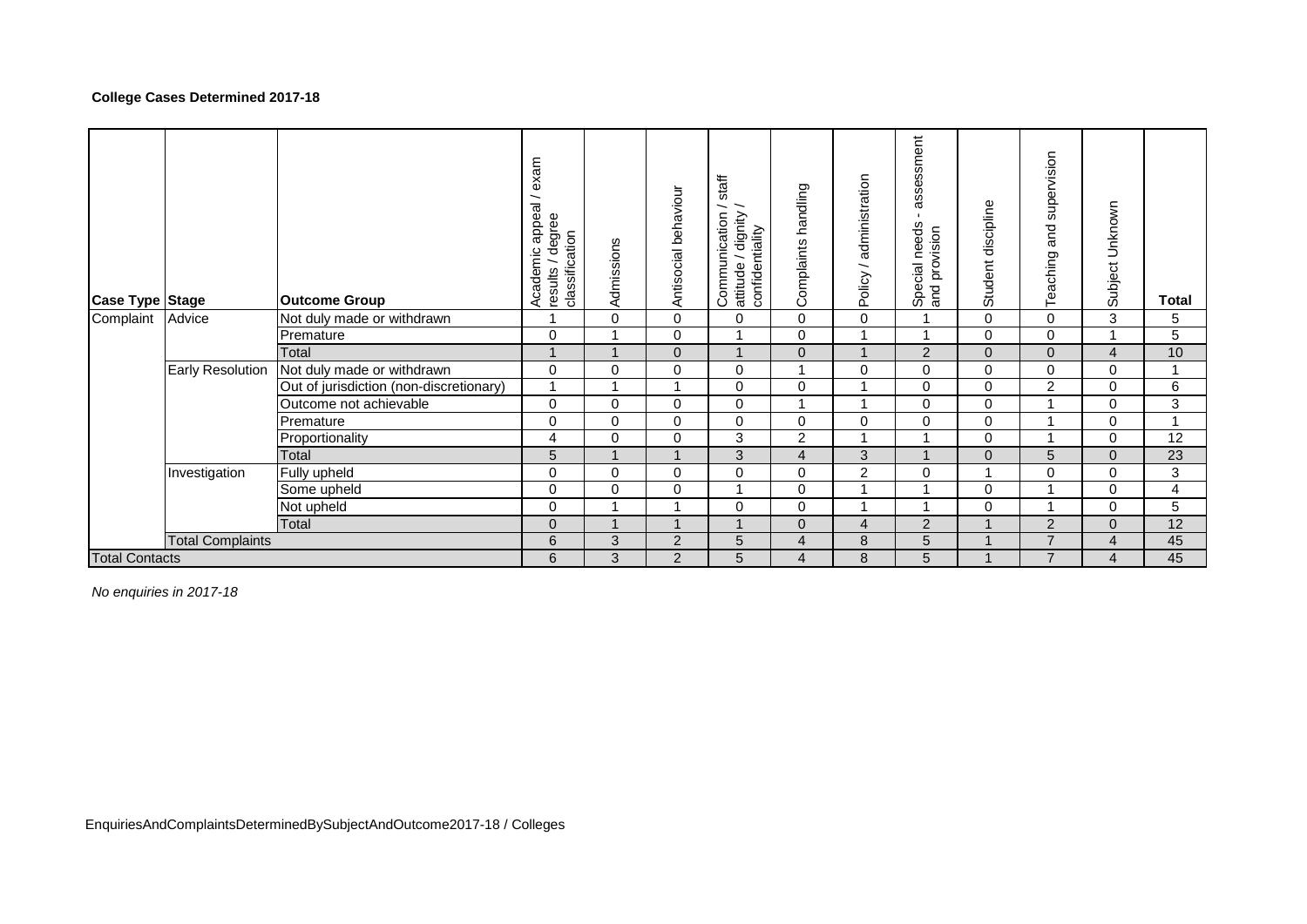## **College Cases Determined 2017-18**

| <b>Case Type Stage</b> |                         | <b>Outcome Group</b>                    | exam<br>appeal/<br>/ degree<br>classification<br>Academic<br>results | Admissions | Antisocial behaviour | staff<br>$\overline{\phantom{0}}$<br>attitude / dignity /<br>confidentiality<br>Communication<br>attitude | Complaints handling | administration<br>$\overline{\phantom{0}}$<br>Policy | assessment<br>$\mathbf{L}$<br>Special needs<br>provision<br>$\frac{1}{2}$ | Student discipline | supervision<br>and<br>Teaching | Subject Unknown | Total |
|------------------------|-------------------------|-----------------------------------------|----------------------------------------------------------------------|------------|----------------------|-----------------------------------------------------------------------------------------------------------|---------------------|------------------------------------------------------|---------------------------------------------------------------------------|--------------------|--------------------------------|-----------------|-------|
| Complaint              | Advice                  | Not duly made or withdrawn              |                                                                      | $\Omega$   | $\Omega$             | $\Omega$                                                                                                  | $\Omega$            | $\Omega$                                             |                                                                           | $\mathbf 0$        | 0                              | 3               | 5     |
|                        |                         | Premature                               | $\Omega$                                                             |            | $\mathbf 0$          |                                                                                                           | 0                   |                                                      |                                                                           | 0                  | 0                              |                 | 5     |
|                        |                         | Total                                   | $\overline{\mathbf{A}}$                                              |            | $\Omega$             |                                                                                                           | $\Omega$            |                                                      | $\overline{2}$                                                            | $\mathbf{0}$       | $\Omega$                       | $\overline{4}$  | 10    |
|                        | <b>Early Resolution</b> | Not duly made or withdrawn              | $\Omega$                                                             | 0          | $\mathbf 0$          | 0                                                                                                         |                     | $\Omega$                                             | 0                                                                         | $\mathbf 0$        | 0                              | 0               |       |
|                        |                         | Out of jurisdiction (non-discretionary) |                                                                      |            |                      | 0                                                                                                         | 0                   |                                                      | 0                                                                         | 0                  | $\overline{c}$                 | $\mathbf 0$     | 6     |
|                        |                         | Outcome not achievable                  | 0                                                                    | 0          | 0                    | $\mathbf 0$                                                                                               |                     |                                                      | 0                                                                         | 0                  |                                | 0               | 3     |
|                        |                         | Premature                               | $\Omega$                                                             | $\Omega$   | $\mathbf 0$          | $\mathbf 0$                                                                                               | 0                   | $\Omega$                                             | 0                                                                         | $\mathbf 0$        |                                | $\mathbf 0$     |       |
|                        |                         | Proportionality                         | 4                                                                    | 0          | $\Omega$             | 3                                                                                                         | $\overline{c}$      |                                                      |                                                                           | 0                  |                                | $\mathbf 0$     | 12    |
|                        |                         | Total                                   | 5                                                                    |            |                      | 3                                                                                                         | $\overline{4}$      | 3                                                    |                                                                           | $\mathbf{0}$       | 5                              | $\Omega$        | 23    |
|                        | Investigation           | Fully upheld                            | $\Omega$                                                             | $\Omega$   | $\mathbf 0$          | 0                                                                                                         | 0                   | $\overline{2}$                                       | 0                                                                         | $\overline{A}$     | 0                              | $\mathbf 0$     | 3     |
|                        |                         | Some upheld                             | $\Omega$                                                             | $\Omega$   | 0                    | $\overline{\mathbf{A}}$                                                                                   | 0                   |                                                      |                                                                           | 0                  | $\overline{\mathbf{A}}$        | $\mathbf 0$     | 4     |
|                        |                         | Not upheld                              | 0                                                                    |            |                      | $\Omega$                                                                                                  | $\mathbf 0$         |                                                      |                                                                           | $\mathbf 0$        | $\overline{\mathbf{A}}$        | $\mathbf 0$     | 5     |
|                        |                         | Total                                   | $\Omega$                                                             |            |                      |                                                                                                           | $\overline{0}$      | $\overline{4}$                                       | $\overline{2}$                                                            |                    | $\overline{2}$                 | $\mathbf{0}$    | 12    |
|                        | <b>Total Complaints</b> |                                         | 6                                                                    | 3          | 2                    | 5                                                                                                         | 4                   | 8                                                    | 5                                                                         |                    | $\overline{7}$                 | $\overline{4}$  | 45    |
| <b>Total Contacts</b>  |                         |                                         | 6                                                                    | 3          | 2                    | 5                                                                                                         | 4                   | 8                                                    | 5                                                                         |                    | $\overline{7}$                 | $\overline{4}$  | 45    |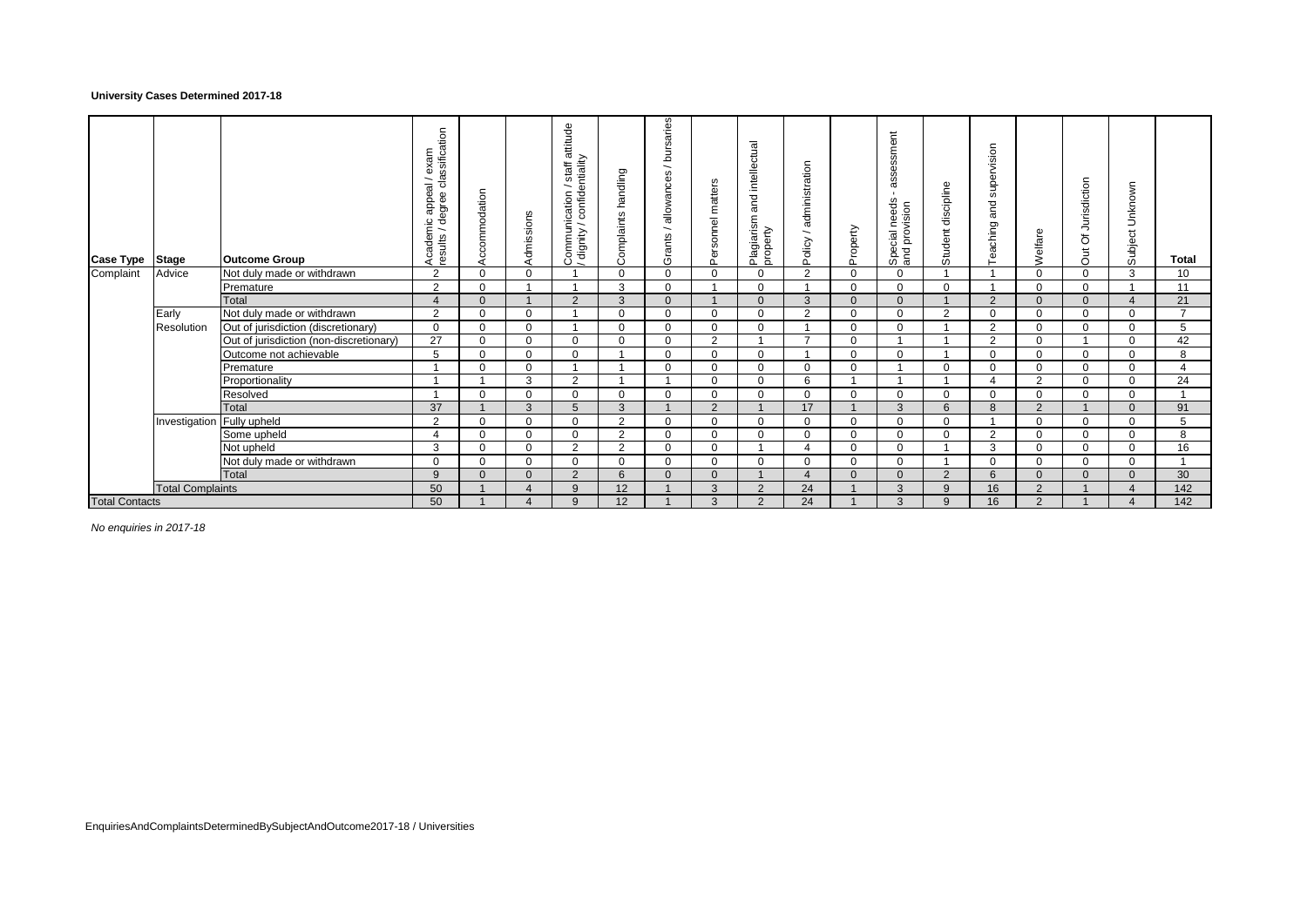### **University Cases Determined 2017-18**

| <b>Case Type</b>      | <b>Stage</b>               | <b>Outcome Group</b>                    | classification<br>exam<br>appeal<br>degree<br>Academic<br>results | Accommodation | Admissions     | Communication / staff attitude<br>/ dignity / confidentiality | handling<br>Complaints | bursaries<br>∽<br>allowances<br>$\overline{\phantom{0}}$<br>Grants | matters<br>ersonnel<br>ñ | and intellectual<br>Plagiarism<br>property | administration<br>$\overline{\phantom{0}}$<br>olicy<br>$\Omega$ | Property | ssment<br>asse<br>needs<br>vision<br>Special<br>and prov | discipline<br>Student | supervision<br>and<br>Teaching | Welfare        | Jurisdiction<br>ð<br>5 <sub>U</sub> | Subject Unknown | <b>Total</b>   |
|-----------------------|----------------------------|-----------------------------------------|-------------------------------------------------------------------|---------------|----------------|---------------------------------------------------------------|------------------------|--------------------------------------------------------------------|--------------------------|--------------------------------------------|-----------------------------------------------------------------|----------|----------------------------------------------------------|-----------------------|--------------------------------|----------------|-------------------------------------|-----------------|----------------|
| Complaint             | Advice                     | Not duly made or withdrawn              | $\overline{2}$                                                    | $\Omega$      | $\Omega$       |                                                               | $\Omega$               | $\Omega$                                                           | $\Omega$                 | $\Omega$                                   | $\mathcal{P}$                                                   | 0        | $\Omega$                                                 |                       |                                | $\Omega$       | $\Omega$                            | 3               | 10             |
|                       |                            | Premature                               | $\overline{2}$                                                    | $\Omega$      |                |                                                               | 3                      | $\Omega$                                                           |                          | $\Omega$                                   |                                                                 | $\Omega$ | $\Omega$                                                 | $\Omega$              |                                | $\Omega$       | $\Omega$                            |                 | 11             |
|                       |                            | Total                                   | 4                                                                 | $\mathbf{0}$  |                | 2                                                             | 3                      | $\Omega$                                                           |                          | $\Omega$                                   | 3                                                               | $\Omega$ | $\Omega$                                                 |                       | 2                              | $\Omega$       | $\overline{0}$                      | $\overline{4}$  | 21             |
|                       | Early                      | Not duly made or withdrawn              | $\overline{2}$                                                    | $\mathbf 0$   | $\mathbf 0$    |                                                               | $\Omega$               | $\mathbf 0$                                                        | $\Omega$                 | $\mathbf 0$                                | $\overline{2}$                                                  | $\Omega$ | $\Omega$                                                 | 2                     | 0                              | $\mathbf 0$    | $\Omega$                            | $\mathbf 0$     | $\overline{7}$ |
|                       | Resolution                 | Out of jurisdiction (discretionary)     | $\mathbf 0$                                                       | $\mathbf 0$   | $\mathbf 0$    |                                                               | $\Omega$               | $\mathbf 0$                                                        | $\Omega$                 | $\mathbf 0$                                |                                                                 | $\Omega$ | $\Omega$                                                 |                       | 2                              | $\Omega$       | $\Omega$                            | $\mathbf 0$     | 5              |
|                       |                            | Out of jurisdiction (non-discretionary) | 27                                                                | $\mathbf 0$   | $\mathbf 0$    | $\mathbf 0$                                                   | $\Omega$               | $\mathbf 0$                                                        | $\overline{2}$           |                                            |                                                                 | $\Omega$ |                                                          |                       | $\overline{2}$                 | $\Omega$       |                                     | $\Omega$        | 42             |
|                       |                            | Outcome not achievable                  | 5                                                                 | $\Omega$      | $\Omega$       | $\mathbf 0$                                                   |                        | $\Omega$                                                           | $\Omega$                 | $\Omega$                                   |                                                                 | ∩        | $\Omega$                                                 |                       | 0                              | $\Omega$       | $\Omega$                            | $\Omega$        | 8              |
|                       |                            | Premature                               |                                                                   | $\Omega$      | $\Omega$       |                                                               |                        | $\Omega$                                                           | $\Omega$                 | $\Omega$                                   | $\Omega$                                                        | $\Omega$ |                                                          | $\Omega$              | $\Omega$                       | $\Omega$       | $\Omega$                            | $\Omega$        | $\overline{4}$ |
|                       |                            | Proportionality                         |                                                                   |               | 3              | 2                                                             |                        |                                                                    | ŋ                        | $\Omega$                                   | 6                                                               |          |                                                          |                       |                                | 2              | $\Omega$                            | $\Omega$        | 24             |
|                       |                            | Resolved                                |                                                                   | $\Omega$      | $\mathbf 0$    | $\mathbf 0$                                                   | $\Omega$               | $\mathbf 0$                                                        | $\Omega$                 | $\Omega$                                   | $\Omega$                                                        | $\Omega$ | $\Omega$                                                 | $\Omega$              | $\Omega$                       | $\Omega$       | $\Omega$                            | $\Omega$        |                |
|                       |                            | Total                                   | 37                                                                |               | 3              | 5                                                             | 3                      |                                                                    | $\Omega$                 |                                            | 17                                                              |          | 3                                                        | ิธ                    | 8                              | 2              |                                     | $\Omega$        | 91             |
|                       | Investigation Fully upheld |                                         | $\overline{2}$                                                    | $\Omega$      | $\mathbf 0$    | $\mathbf 0$                                                   | $\overline{2}$         | $\mathbf 0$                                                        | $\Omega$                 | $\Omega$                                   | $\Omega$                                                        | $\Omega$ | $\Omega$                                                 | $\Omega$              |                                | $\Omega$       | $\Omega$                            | $\Omega$        | 5              |
|                       |                            | Some upheld                             | 4                                                                 | $\mathbf 0$   | $\mathbf 0$    | $\mathbf 0$                                                   | $\overline{2}$         | $\mathbf 0$                                                        | $\Omega$                 | $\mathbf 0$                                | $\Omega$                                                        | 0        | $\Omega$                                                 | $\Omega$              | 2                              | $\Omega$       | $\Omega$                            | $\Omega$        | 8              |
|                       |                            | Not upheld                              | 3                                                                 | $\Omega$      | $\mathbf 0$    | 2                                                             | $\overline{2}$         | $\mathbf 0$                                                        |                          |                                            |                                                                 | 0        | $\Omega$                                                 |                       | 3                              | $\Omega$       | $\Omega$                            | $\mathbf 0$     | 16             |
|                       |                            | Not duly made or withdrawn              | $\Omega$                                                          | $\Omega$      | $\mathbf 0$    | $\mathbf 0$                                                   | $\Omega$               | $\mathbf 0$                                                        |                          | $\Omega$                                   | $\Omega$                                                        |          | $\Omega$                                                 |                       | 0                              | $\Omega$       | $\Omega$                            | $\Omega$        |                |
|                       |                            | Total                                   | 9                                                                 | $\Omega$      | $\Omega$       | 2                                                             | 6                      | $\Omega$                                                           | U                        |                                            |                                                                 |          | $\Omega$                                                 | $\Omega$              | 6                              | $\Omega$       | $\Omega$                            | $\Omega$        | 30             |
|                       | <b>Total Complaints</b>    |                                         | 50                                                                |               | $\overline{4}$ | 9                                                             | 12                     |                                                                    | 3                        | $\overline{2}$                             | 24                                                              |          | 3                                                        | 9                     | 16                             | $\overline{2}$ |                                     | $\overline{4}$  | 142            |
| <b>Total Contacts</b> |                            |                                         | 50                                                                |               | $\Lambda$      | 9                                                             | 12                     |                                                                    | 3                        | 2                                          | 24                                                              |          | 3                                                        | 9                     | 16                             | $\overline{2}$ |                                     |                 | 142            |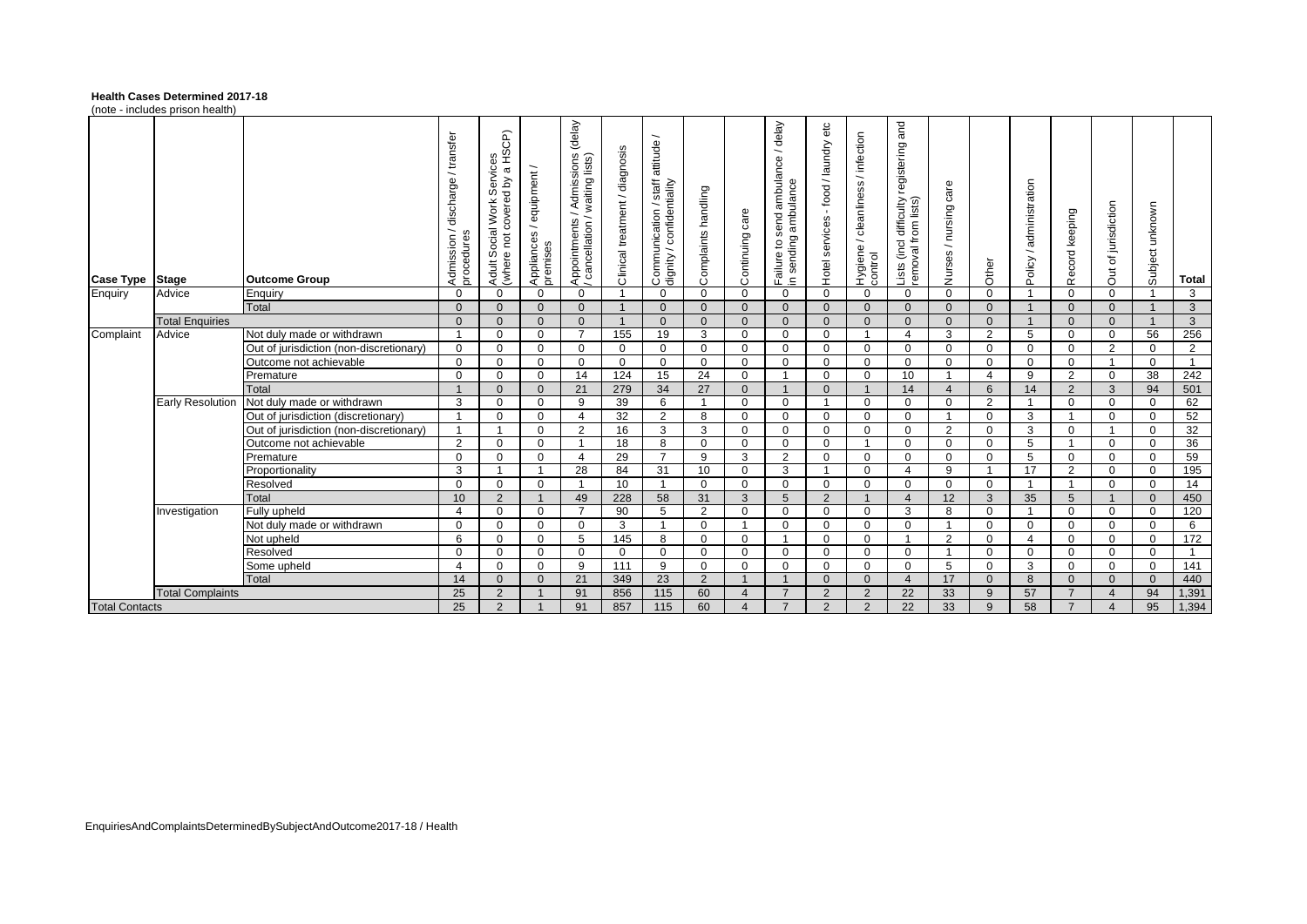### **Health Cases Determined 2017-18**

(note - includes prison health)

|                       | 1100                    |                                         |                                                  |                                                                                                                |                                      |                                                                                                                   |                                |                                                                                         |                     |                       |                                                              |                                           |                                                      |                                                                     |                          |                  |                                                      |                |                       |                    |                |
|-----------------------|-------------------------|-----------------------------------------|--------------------------------------------------|----------------------------------------------------------------------------------------------------------------|--------------------------------------|-------------------------------------------------------------------------------------------------------------------|--------------------------------|-----------------------------------------------------------------------------------------|---------------------|-----------------------|--------------------------------------------------------------|-------------------------------------------|------------------------------------------------------|---------------------------------------------------------------------|--------------------------|------------------|------------------------------------------------------|----------------|-----------------------|--------------------|----------------|
| <b>Case Type</b>      | <b>Stage</b>            | <b>Outcome Group</b>                    | /transfer<br>discharge<br>Admission/<br>procedur | HSCP)<br>al Work Services<br>covered by a HS<br>$\gtrsim$<br>Social <sup>1</sup><br>$\overline{p}$<br>Adult So | equipment/<br>Appliances<br>premises | (delay)<br>/ Admissions (<br>/ waiting lists)<br>$\overline{\phantom{0}}$<br>Appointments /<br>/ cancellation / v | Clinical treatment / diagnosis | $\overline{\phantom{0}}$<br>Communication / staff attitude<br>dignity / confidentiality | Complaints handling | care<br>Continuing    | delay<br>Failure to send ambulance /<br>in sending ambulance | etc<br>- food / laundry<br>Hotel services | / infection<br>cleanliness<br>Hygiene / o<br>control | and<br>registering<br>Lists (incl difficulty<br>removal from lists) | care<br>Nurses / nursing | Other            | administration<br>$\overline{\phantom{a}}$<br>Policy | Record keeping | Out of jurisdiction   | unknown<br>Subject | <b>Total</b>   |
| Enquiry               | Advice                  | Enguiry                                 | $\Omega$                                         | $\mathbf 0$                                                                                                    | $\mathbf 0$                          | $\mathbf{0}$                                                                                                      |                                | $\mathbf 0$                                                                             | $\Omega$            | $\Omega$              | $\mathbf 0$                                                  | $\mathbf{0}$                              | $\Omega$                                             | $\Omega$                                                            | $\Omega$                 | $\Omega$         |                                                      | $\Omega$       | $\mathbf{0}$          |                    | 3              |
|                       |                         | Total                                   | $\Omega$                                         | $\Omega$                                                                                                       | $\mathbf{0}$                         | $\Omega$                                                                                                          | $\overline{1}$                 | $\mathbf{0}$                                                                            | $\Omega$            | $\Omega$              | $\Omega$                                                     | $\mathbf{0}$                              | $\Omega$                                             | $\Omega$                                                            | $\mathbf{0}$             | $\mathbf{0}$     |                                                      | $\Omega$       | $\mathbf{0}$          |                    | $\mathbf{3}$   |
|                       | <b>Total Enquiries</b>  |                                         | $\Omega$                                         | $\Omega$                                                                                                       | $\mathbf{0}$                         | $\Omega$                                                                                                          | $\overline{1}$                 | $\Omega$                                                                                | $\Omega$            | $\Omega$              | $\Omega$                                                     | $\mathbf{0}$                              | $\Omega$                                             | $\Omega$                                                            | $\Omega$                 | $\Omega$         |                                                      | $\Omega$       | $\mathbf{0}$          |                    | $\mathbf{3}$   |
| Complaint             | Advice                  | Not duly made or withdrawn              | - 1                                              | $\Omega$                                                                                                       | $\mathbf 0$                          | $\overline{7}$                                                                                                    | 155                            | 19                                                                                      | 3                   | $\Omega$              | $\mathbf 0$                                                  | $\mathbf 0$                               |                                                      | $\boldsymbol{\Delta}$                                               | 3                        | 2                | 5                                                    | $\Omega$       | $\mathbf{0}$          | 56                 | 256            |
|                       |                         | Out of jurisdiction (non-discretionary) | $\Omega$                                         | $\mathbf 0$                                                                                                    | $\mathbf 0$                          | $\Omega$                                                                                                          | $\mathbf 0$                    | $\mathbf 0$                                                                             | $\Omega$            | $\Omega$              | $\mathbf 0$                                                  | $\mathbf 0$                               | $\Omega$                                             | $\Omega$                                                            | $\Omega$                 | $\Omega$         | $\mathbf 0$                                          | $\Omega$       | $\overline{2}$        | $\Omega$           | 2              |
|                       |                         | Outcome not achievable                  | $\Omega$                                         | $\mathbf 0$                                                                                                    | $\mathbf 0$                          | $\Omega$                                                                                                          | $\mathbf 0$                    | $\mathbf 0$                                                                             | $\Omega$            | $\Omega$              | $\mathbf 0$                                                  | $\mathbf 0$                               | $\Omega$                                             | $\Omega$                                                            | $\Omega$                 | $\mathbf 0$      | $\mathbf 0$                                          | $\mathbf 0$    | $\overline{ }$        | $\Omega$           | $\overline{1}$ |
|                       |                         | Premature                               | $\Omega$                                         | $\mathbf 0$                                                                                                    | $\mathbf 0$                          | 14                                                                                                                | 124                            | 15                                                                                      | 24                  | $\Omega$              |                                                              | $\mathbf 0$                               | $\Omega$                                             | 10                                                                  | $\mathbf{1}$             | $\overline{4}$   | 9                                                    | 2              | $\mathbf{0}$          | 38                 | 242            |
|                       |                         | Total                                   |                                                  | $\Omega$                                                                                                       | $\mathbf{0}$                         | 21                                                                                                                | 279                            | 34                                                                                      | 27                  | $\Omega$              |                                                              | $\mathbf{0}$                              |                                                      | 14                                                                  | $\overline{4}$           | $6 \overline{6}$ | 14                                                   | 2              | $\mathbf{3}$          | 94                 | 501            |
|                       | <b>Early Resolution</b> | Not duly made or withdrawn              | 3                                                | $\mathbf 0$                                                                                                    | $\mathbf 0$                          | 9                                                                                                                 | 39                             | 6                                                                                       | $\overline{ }$      | $\Omega$              | $\mathbf{0}$                                                 | $\mathbf{1}$                              | $\Omega$                                             | $\Omega$                                                            | $\Omega$                 | 2                |                                                      | $\mathbf 0$    | $\mathbf{0}$          | $\Omega$           | 62             |
|                       |                         | Out of jurisdiction (discretionary)     |                                                  | $\mathbf 0$                                                                                                    | $\mathbf 0$                          | 4                                                                                                                 | 32                             | 2                                                                                       | 8                   | $\Omega$              | $\mathbf{0}$                                                 | $\mathbf 0$                               | $\Omega$                                             | $\Omega$                                                            | $\overline{1}$           | $\mathbf 0$      | 3                                                    |                | $\mathbf{0}$          | $\Omega$           | 52             |
|                       |                         | Out of jurisdiction (non-discretionary) | -4                                               |                                                                                                                | $\mathbf 0$                          | 2                                                                                                                 | 16                             | 3                                                                                       | 3                   | $\Omega$              | $\mathbf{0}$                                                 | $\mathbf 0$                               | $\Omega$                                             | $\Omega$                                                            | 2                        | $\Omega$         | 3                                                    | $\Omega$       | $\overline{1}$        | $\Omega$           | 32             |
|                       |                         | Outcome not achievable                  | 2                                                | $\mathbf 0$                                                                                                    | $\mathbf 0$                          |                                                                                                                   | 18                             | 8                                                                                       | $\Omega$            | $\Omega$              | $\mathbf{0}$                                                 | $\Omega$                                  |                                                      | $\Omega$                                                            | $\Omega$                 | $\mathbf 0$      | 5                                                    |                | $\mathbf{0}$          | $\Omega$           | 36             |
|                       |                         | Premature                               | $\Omega$                                         | $\Omega$                                                                                                       | $\Omega$                             | $\overline{4}$                                                                                                    | 29                             | $\overline{7}$                                                                          | 9                   | 3                     | 2                                                            | $\Omega$                                  | $\Omega$                                             | $\Omega$                                                            | $\Omega$                 | $\Omega$         | 5                                                    | $\Omega$       | $\Omega$              | $\Omega$           | 59             |
|                       |                         | Proportionality                         | 3                                                |                                                                                                                | $\overline{1}$                       | 28                                                                                                                | 84                             | 31                                                                                      | 10                  | $\Omega$              | 3                                                            | $\mathbf{1}$                              | $\Omega$                                             | $\boldsymbol{\Delta}$                                               | 9                        | $\overline{1}$   | 17                                                   | $\overline{2}$ | $\Omega$              | $\Omega$           | 195            |
|                       |                         | Resolved                                | $\Omega$                                         | $\mathbf 0$                                                                                                    | $\mathbf 0$                          |                                                                                                                   | 10                             | $\mathbf{1}$                                                                            | $\Omega$            | $\Omega$              | $\mathbf{0}$                                                 | $\Omega$                                  | $\Omega$                                             | $\Omega$                                                            | $\Omega$                 | $\mathbf 0$      |                                                      |                | $\mathbf{0}$          | $\Omega$           | 14             |
|                       |                         | Total                                   | 10                                               | 2                                                                                                              | $\overline{1}$                       | 49                                                                                                                | 228                            | 58                                                                                      | 31                  | 3                     | 5                                                            | 2                                         |                                                      | $\overline{4}$                                                      | 12                       | 3                | 35                                                   | 5              | $\mathbf{1}$          | $\Omega$           | 450            |
|                       | Investigation           | Fully upheld                            | 4                                                | $\mathbf 0$                                                                                                    | $\mathbf 0$                          | $\overline{7}$                                                                                                    | 90                             | 5                                                                                       | 2                   | $\Omega$              | $\mathbf 0$                                                  | $\Omega$                                  | $\Omega$                                             | 3                                                                   | 8                        | $\mathbf 0$      |                                                      | $\Omega$       | $\mathbf{0}$          | $\Omega$           | 120            |
|                       |                         | Not duly made or withdrawn              | $\Omega$                                         | $\Omega$                                                                                                       | $\Omega$                             | $\Omega$                                                                                                          | 3                              | $\mathbf{1}$                                                                            | $\Omega$            |                       | $\Omega$                                                     | $\Omega$                                  | $\Omega$                                             | $\Omega$                                                            | $\mathbf{1}$             | $\Omega$         | $\Omega$                                             | $\Omega$       | $\Omega$              | $\Omega$           | 6              |
|                       |                         | Not upheld                              | 6                                                | $\Omega$                                                                                                       | $\Omega$                             | 5                                                                                                                 | 145                            | 8                                                                                       | $\Omega$            | $\Omega$              |                                                              | $\Omega$                                  | $\Omega$                                             |                                                                     | 2                        | $\Omega$         | $\boldsymbol{\Delta}$                                | $\Omega$       | $\mathbf{0}$          | $\Omega$           | 172            |
|                       |                         | Resolved                                | $\Omega$                                         | $\Omega$                                                                                                       | $\Omega$                             | $\Omega$                                                                                                          | $\Omega$                       | $\mathbf 0$                                                                             | $\Omega$            | $\Omega$              | $\mathbf 0$                                                  | $\Omega$                                  | $\Omega$                                             | $\Omega$                                                            | $\mathbf{1}$             | $\Omega$         | $\Omega$                                             | $\Omega$       | $\mathbf{0}$          | $\Omega$           | $\overline{1}$ |
|                       |                         | Some upheld                             | 4                                                | $\Omega$                                                                                                       | $\mathbf 0$                          | 9                                                                                                                 | 111                            | 9                                                                                       | $\Omega$            | $\Omega$              | $\mathbf 0$                                                  | $\Omega$                                  | $\Omega$                                             | $\Omega$                                                            | 5                        | $\Omega$         | 3                                                    | $\Omega$       | $\mathbf{0}$          | $\Omega$           | 141            |
|                       |                         | Total                                   | 14                                               | $\Omega$                                                                                                       | $\mathbf{0}$                         | 21                                                                                                                | 349                            | 23                                                                                      | 2                   | -1                    |                                                              | $\Omega$                                  | $\Omega$                                             | $\overline{4}$                                                      | 17                       | $\Omega$         | 8                                                    | $\Omega$       | $\Omega$              | $\Omega$           | 440            |
|                       | <b>Total Complaints</b> |                                         | 25                                               | $\overline{2}$                                                                                                 | $\mathbf{1}$                         | 91                                                                                                                | 856                            | 115                                                                                     | 60                  | Δ                     | $\overline{7}$                                               | 2                                         | 2                                                    | 22                                                                  | 33                       | 9                | 57                                                   | $\overline{7}$ | $\boldsymbol{\Delta}$ | 94                 | 1,391          |
| <b>Total Contacts</b> |                         |                                         | 25                                               | 2                                                                                                              |                                      | 91                                                                                                                | 857                            | 115                                                                                     | 60                  | $\boldsymbol{\Delta}$ | $\overline{7}$                                               | 2                                         | 2                                                    | $\overline{22}$                                                     | 33                       | 9                | 58                                                   | $\overline{7}$ |                       | 95                 | 1,394          |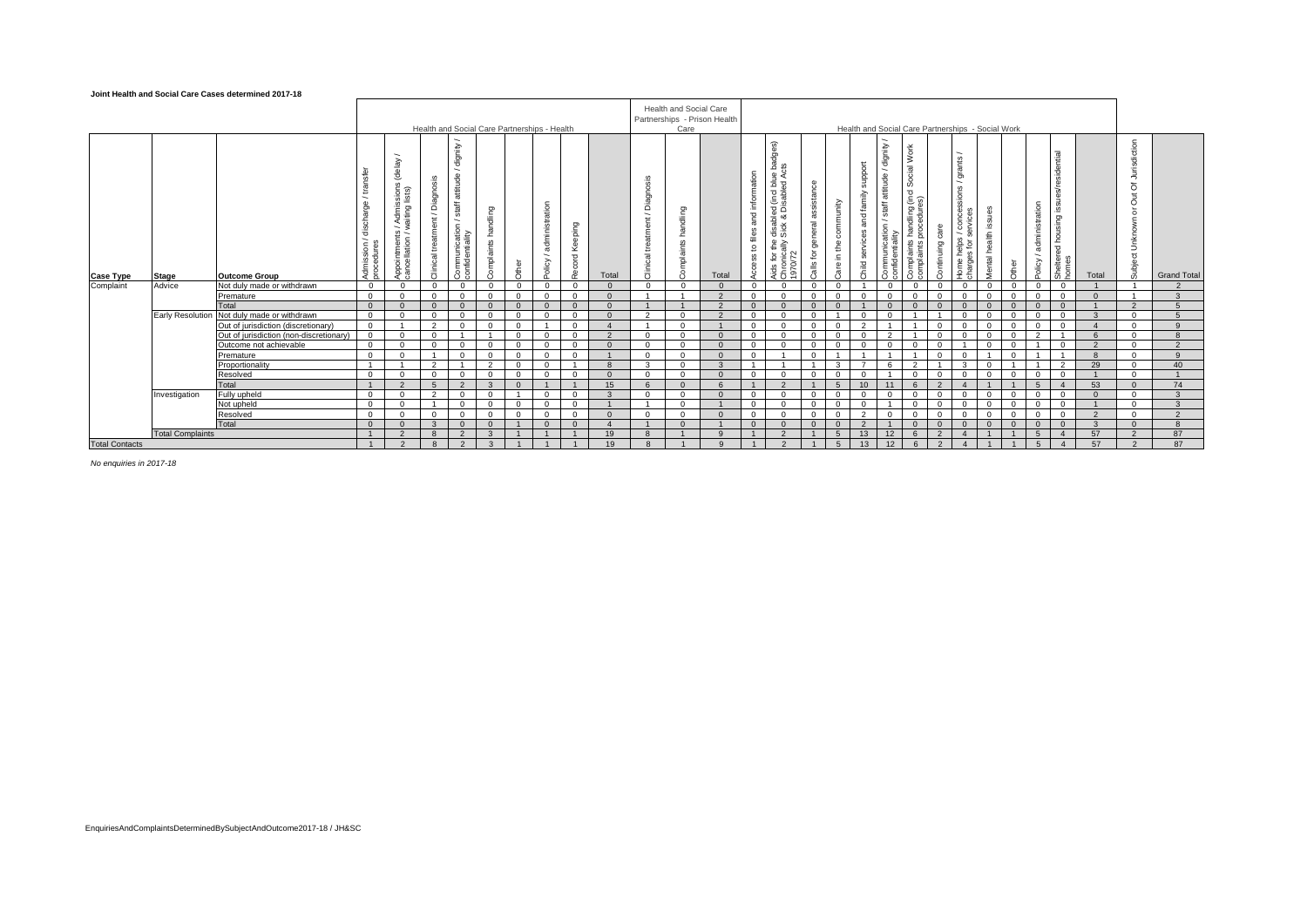#### **Joint Health and Social Care Cases determined 2017-18**

|                       |                         |                                         |                                                   |                                                                                                   |                                     | Health and Social Care Partnerships - Health                                                                            |                        |            |                         |                        |              |                                                                                       | <b>Health and Social Care</b><br>Care | Partnerships - Prison Health |                                                    |                                                                                                                                                    |                                                        |                                       |                                            | Health and Social Care Partnerships - Social Work                 |                                                                                              |                    |                                                                                    |                      |            |                                                      |                                                                  |              |                                                                                          |                    |
|-----------------------|-------------------------|-----------------------------------------|---------------------------------------------------|---------------------------------------------------------------------------------------------------|-------------------------------------|-------------------------------------------------------------------------------------------------------------------------|------------------------|------------|-------------------------|------------------------|--------------|---------------------------------------------------------------------------------------|---------------------------------------|------------------------------|----------------------------------------------------|----------------------------------------------------------------------------------------------------------------------------------------------------|--------------------------------------------------------|---------------------------------------|--------------------------------------------|-------------------------------------------------------------------|----------------------------------------------------------------------------------------------|--------------------|------------------------------------------------------------------------------------|----------------------|------------|------------------------------------------------------|------------------------------------------------------------------|--------------|------------------------------------------------------------------------------------------|--------------------|
| <b>Case Type</b>      | <b>Stage</b>            | <b>Outcome Group</b>                    | ♨<br>Γã<br>ﻰ<br>nssi<br>Sadur<br>Admiss<br>proced | (delay<br>Admissions<br>raiting lists)<br>$\overline{\phantom{a}}$<br>Appointment<br>cancellation | Diagnosis<br>treatment/<br>Clinical | dignity<br>$\overline{\phantom{a}}$<br>staff attitude<br>$\overline{\phantom{a}}$<br>Communication /<br>confidentiality | handling<br>Complaints | ਨੈਂ        | administration<br>olicy | eping<br>٩ě<br>짇<br>λē | Total        | Diagnosis<br>$\overline{\phantom{a}}$<br>$\overline{\epsilon}$<br>treatme<br>Clinical | handling<br>mplaints                  | Total                        | and information<br>files<br>$\mathtt{S}$<br>Access | dges)<br>(incl blue bac<br>isabled Acts<br>σã<br>≚ ∞<br>disat<br>Sick<br>≦ ≜<br>a<br>$\sim$<br>$\tilde{\mathbf{p}}$<br>Aids fo<br>Chroni<br>1970/7 | assistance<br>general<br>$\mathsf{\tilde{e}}$<br>Calls | community<br>£<br>$\subseteq$<br>Care | support<br>and family<br>services<br>Child | dignity<br>staff attitude<br>≌<br>Communicatio<br>confidentiality | Work<br>Social <sup>'</sup><br>s handling (incl S<br>procedures)<br>Complaints<br>complaints | care<br>Continuing | grants<br>∼<br>ons<br>മ്മ<br>ිම<br>$rac{8}{6}$ $rac{8}{6}$<br>Home he<br>charges 1 | Mental health issues | ŏ<br>휽     | administration<br>$\overline{\phantom{a}}$<br>Policy | त्त<br>identi<br><br><u>∞</u><br>red housing<br>Shelter<br>homes | Total        | Jurisdiction<br>$\bar{o}$<br>$\overline{5}$<br>$\overline{\sigma}$<br>Unknown<br>Subject | <b>Grand Total</b> |
| Complaint             | Advice                  | Not duly made or withdrawn              | $\overline{0}$                                    | $\Omega$                                                                                          | $\mathbf{0}$                        | $\Omega$                                                                                                                | $\Omega$               | $^{\circ}$ | $\Omega$                | $\Omega$               |              | $\Omega$                                                                              | $\Omega$                              |                              | $\Omega$                                           | $\Omega$                                                                                                                                           | $\Omega$                                               | $\Omega$                              |                                            | $\Omega$                                                          | $\Omega$                                                                                     | $\mathbf{0}$       | $\Omega$                                                                           | $\Omega$             | $^{\circ}$ | $\Omega$                                             | $\mathbf{0}$                                                     |              |                                                                                          |                    |
|                       |                         | Premature                               | $\Omega$                                          | $\Omega$                                                                                          | $\Omega$                            | $\Omega$                                                                                                                |                        |            |                         | $\Omega$               |              |                                                                                       |                                       | $\Omega$                     | $\Omega$                                           |                                                                                                                                                    | $\Omega$                                               | $\Omega$                              |                                            |                                                                   |                                                                                              |                    | $\Omega$                                                                           |                      |            |                                                      |                                                                  |              |                                                                                          |                    |
|                       |                         | Total                                   | $\Omega$                                          | $\Omega$                                                                                          | $\Omega$                            | $\Omega$                                                                                                                |                        |            |                         | $\Omega$               |              |                                                                                       |                                       | $\Omega$                     |                                                    |                                                                                                                                                    | $\Omega$                                               | $\Omega$                              |                                            |                                                                   |                                                                                              |                    |                                                                                    |                      |            |                                                      |                                                                  |              | $\Omega$                                                                                 |                    |
|                       | <b>Early Resolution</b> | Not duly made or withdrawn              | $\Omega$                                          | $\Omega$                                                                                          | $\Omega$                            | $\Omega$                                                                                                                |                        |            |                         | $\Omega$               |              | $\sim$                                                                                | $\Omega$                              | $\Omega$                     | $\Omega$                                           |                                                                                                                                                    |                                                        |                                       |                                            |                                                                   |                                                                                              |                    |                                                                                    |                      |            |                                                      |                                                                  |              | $\Omega$                                                                                 |                    |
|                       |                         | Out of jurisdiction (discretionary)     | $\Omega$                                          |                                                                                                   | $\sim$                              | $\Omega$                                                                                                                |                        |            |                         | $\Omega$               |              |                                                                                       | $\Omega$                              |                              | $\Omega$                                           |                                                                                                                                                    |                                                        |                                       | $\sim$                                     |                                                                   |                                                                                              |                    |                                                                                    |                      |            |                                                      |                                                                  |              | $\Omega$                                                                                 |                    |
|                       |                         | Out of jurisdiction (non-discretionary) | $\Omega$                                          | $\Omega$                                                                                          | $\Omega$                            |                                                                                                                         |                        |            |                         | $\Omega$               | $\Omega$     | $\Omega$                                                                              | $\Omega$                              | $\Omega$                     | $\Omega$                                           |                                                                                                                                                    | $\Omega$                                               | $\Omega$                              |                                            | $\sim$                                                            |                                                                                              |                    | $\Omega$                                                                           |                      |            | $\sim$                                               |                                                                  |              | $\Omega$                                                                                 |                    |
|                       |                         | Outcome not achievable                  | $\Omega$                                          | $\Omega$                                                                                          | $\Omega$                            | $\Omega$                                                                                                                |                        |            |                         | $\Omega$               |              | $\Omega$                                                                              | $\Omega$                              | $\Omega$                     | $\Omega$                                           |                                                                                                                                                    | $\Omega$                                               | $\Omega$                              |                                            |                                                                   |                                                                                              |                    |                                                                                    |                      |            |                                                      |                                                                  |              | $\Omega$                                                                                 |                    |
|                       |                         | Premature                               | $\mathbf{0}$                                      | $\Omega$                                                                                          |                                     | $\mathbf{0}$                                                                                                            | $\Omega$               | $\Omega$   | $\Omega$                | $\Omega$               |              | $\Omega$                                                                              | $\Omega$                              | $\Omega$                     | $^{\circ}$                                         |                                                                                                                                                    | $\Omega$                                               |                                       |                                            |                                                                   |                                                                                              | $\Omega$           | $\Omega$                                                                           | $\overline{1}$       | $\Omega$   |                                                      |                                                                  | $\mathbf{R}$ | $\overline{0}$                                                                           | $\alpha$           |
|                       |                         | Proportionality                         | $\overline{1}$                                    |                                                                                                   | $\overline{2}$                      |                                                                                                                         | $\overline{2}$         | $\Omega$   | $\Omega$                |                        | $\mathbf{R}$ | $\mathbf{3}$                                                                          | $\Omega$                              | $\mathbf{3}$                 |                                                    |                                                                                                                                                    |                                                        | $\mathbf{3}$                          |                                            | $\epsilon$                                                        | $\overline{2}$                                                                               |                    | 3                                                                                  | $\Omega$             |            |                                                      | $\overline{2}$                                                   | 29           | $\Omega$                                                                                 | 40 <sup>2</sup>    |
|                       |                         | Resolved                                | $\Omega$                                          | $\Omega$                                                                                          | $\mathbf{0}$                        | $\Omega$                                                                                                                | $\Omega$               | $\Omega$   | $\Omega$                | $\Omega$               | $\Omega$     | $\Omega$                                                                              | $\Omega$                              | $\Omega$                     | $\Omega$                                           | $\Omega$                                                                                                                                           | $\Omega$                                               | $\Omega$                              | $\Omega$                                   |                                                                   | $\Omega$                                                                                     | $\Omega$           | $\Omega$                                                                           | $\mathbf{0}$         | $\Omega$   | $\Omega$                                             | $\Omega$                                                         |              | $\Omega$                                                                                 |                    |
|                       |                         | Total                                   | $\overline{1}$                                    | $\overline{2}$                                                                                    | 5 <sup>5</sup>                      | $\overline{2}$                                                                                                          | $\mathbf{3}$           | $\Omega$   |                         |                        | 15           | 6                                                                                     | $\Omega$                              | 6                            |                                                    |                                                                                                                                                    |                                                        | $5^{\circ}$                           | 10                                         | 11                                                                | 6                                                                                            | $\mathcal{P}$      | $\boldsymbol{\Delta}$                                                              |                      |            | $5^{\circ}$                                          | $\overline{4}$                                                   | 53           | $\Omega$                                                                                 | 74                 |
|                       | Investigation           | Fully upheld                            | $\Omega$                                          | $\Omega$                                                                                          | $\overline{2}$                      | $\Omega$                                                                                                                | $\Omega$               |            |                         | $\Omega$               | $\mathbf{r}$ | $\Omega$                                                                              | $\Omega$                              | $\Omega$                     | $\Omega$                                           | $\Omega$                                                                                                                                           | $\Omega$                                               | $\Omega$                              | $\Omega$                                   |                                                                   |                                                                                              |                    | $\Omega$                                                                           | $\Omega$             |            |                                                      | $\Omega$                                                         | $\Omega$     | $\Omega$                                                                                 | $\mathbf{r}$       |
|                       |                         | Not upheld                              | $\Omega$                                          | $\Omega$                                                                                          |                                     | $\Omega$                                                                                                                | $\Omega$               | $\Omega$   | $\Omega$                | $\Omega$               |              |                                                                                       | $\Omega$                              |                              | $\Omega$                                           | $\Omega$                                                                                                                                           | $\Omega$                                               | $\Omega$                              | $\Omega$                                   |                                                                   | $\Omega$                                                                                     | $\Omega$           | $\Omega$                                                                           | $\Omega$             | $\cap$     | $\Omega$                                             |                                                                  |              | $\Omega$                                                                                 | $\mathbf{r}$       |
|                       |                         | Resolved                                | $\Omega$                                          | $\Omega$                                                                                          | $\mathbf{0}$                        | $\Omega$                                                                                                                |                        |            |                         | $\Omega$               | $\Omega$     | $\Omega$                                                                              | $\Omega$                              | $\Omega$                     | $\Omega$                                           | $\Omega$                                                                                                                                           | $\Omega$                                               | $\Omega$                              | $\sim$                                     |                                                                   |                                                                                              |                    | $\Omega$                                                                           |                      |            |                                                      |                                                                  | $\Omega$     | $\Omega$                                                                                 | $\Omega$           |
|                       |                         | Total                                   | $\Omega$                                          | $\Omega$                                                                                          | $\mathbf{3}$                        | $\Omega$                                                                                                                |                        |            |                         | $\Omega$               |              |                                                                                       | $\Omega$                              |                              | $\Omega$                                           |                                                                                                                                                    | $\Omega$                                               | $\Omega$                              | $\mathcal{P}$                              |                                                                   |                                                                                              |                    | $\Omega$                                                                           |                      |            |                                                      | $\Omega$                                                         |              | $\Omega$                                                                                 | $\mathbf{R}$       |
|                       | <b>Total Complaints</b> |                                         | $\overline{1}$                                    | $\Omega$                                                                                          | $\mathbf{8}$                        | $\mathcal{P}$                                                                                                           | $\mathbf{B}$           |            |                         |                        | 19           | 8                                                                                     |                                       | $\mathbf{q}$                 |                                                    |                                                                                                                                                    |                                                        | $-5$                                  | 13                                         | 12                                                                |                                                                                              |                    |                                                                                    |                      |            | 5                                                    | $\mathbf{A}$                                                     | 57           | $\mathcal{P}$                                                                            | 87                 |
| <b>Total Contacts</b> |                         |                                         |                                                   | $\mathcal{P}$                                                                                     | $\mathbf{R}$                        | $\mathcal{L}$                                                                                                           | $\mathbf{R}$           |            |                         |                        | 19           | $\mathcal{R}$                                                                         |                                       |                              |                                                    |                                                                                                                                                    |                                                        | $5 -$                                 | 13                                         | 12                                                                | 6                                                                                            | $\Omega$           |                                                                                    |                      |            | $\sqrt{2}$                                           |                                                                  | 57           | $\Omega$                                                                                 | 87                 |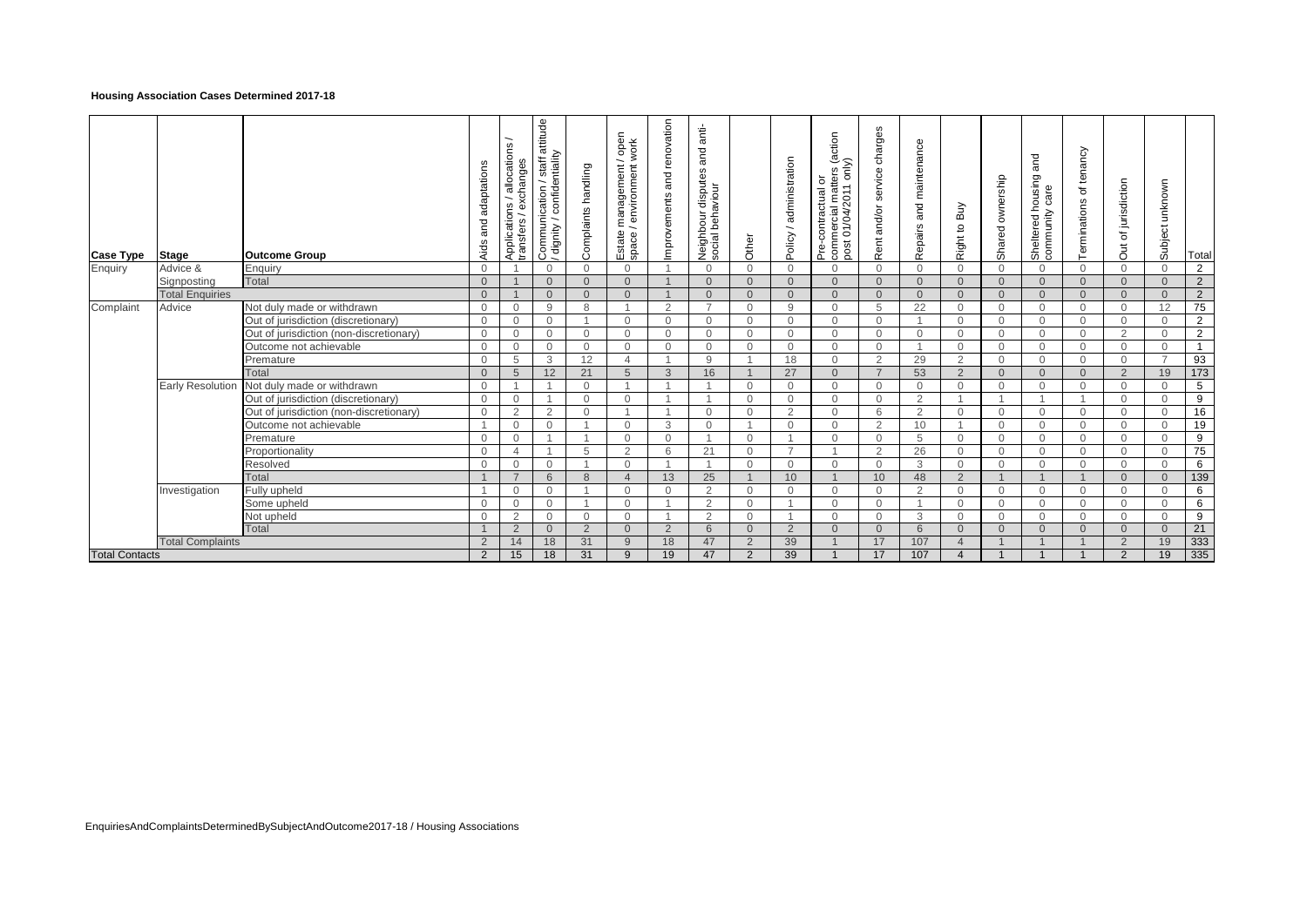### **Housing Association Cases Determined 2017-18**

| <b>Case Type</b>      | Stage                            | <b>Outcome Group</b>                    | adaptations<br>and<br>Aids    | allocations<br>exchanges<br>Applications /<br>transfers / ex | attitude<br>Communication / staff a<br>/ dignity / confidentiality<br>dignity / | Complaints handling  | / open<br>work<br>e management /<br>henvironment /<br>Estate<br>space/ | and renovation<br>Improvements | anti-<br>and<br>disputes<br>Neighbour dispute<br>social behaviour | Other                          | administration<br>Policy / | (action<br>1 only)<br>commercial matters<br>ŏ<br>Pre-contractual<br>01/04/201<br>post | charges<br>service<br>and/or<br>Rent | Repairs and maintenance | Buy<br>S,<br>Right t | ownership<br>Shared  | and<br>Sheltered housing<br>community care | tenancy<br>đ<br>Terminations | of jurisdiction<br>J | Subject unknown | Total             |
|-----------------------|----------------------------------|-----------------------------------------|-------------------------------|--------------------------------------------------------------|---------------------------------------------------------------------------------|----------------------|------------------------------------------------------------------------|--------------------------------|-------------------------------------------------------------------|--------------------------------|----------------------------|---------------------------------------------------------------------------------------|--------------------------------------|-------------------------|----------------------|----------------------|--------------------------------------------|------------------------------|----------------------|-----------------|-------------------|
| Enquiry               | Advice &                         | Enquiry<br><b>Total</b>                 | $\mathbf 0$                   |                                                              | $\mathbf{0}$<br>$\Omega$                                                        | $\Omega$<br>$\Omega$ | $\Omega$                                                               |                                | $\overline{0}$                                                    | $\mathbf{0}$                   | $\mathbf{0}$               | $\Omega$<br>$\Omega$                                                                  | $\Omega$<br>$\Omega$                 | $\mathbf{0}$            | $\Omega$             | $\Omega$             | $\Omega$                                   | $\Omega$                     | $\overline{0}$       | $\mathbf 0$     | $\overline{2}$    |
|                       | Signposting                      |                                         | $\mathbf{0}$                  |                                                              |                                                                                 |                      | $\overline{0}$                                                         |                                | $\overline{0}$                                                    | $\overline{0}$                 | $\mathbf{0}$               | $\Omega$                                                                              |                                      | $\overline{0}$          | $\overline{0}$       | $\Omega$             | $\overline{0}$<br>$\Omega$                 | $\overline{0}$               | $\overline{0}$       | $\mathbf{0}$    | $2^{\circ}$       |
|                       | <b>Total Enquiries</b><br>Advice | Not duly made or withdrawn              | $\overline{0}$<br>$\mathbf 0$ | $\overline{0}$                                               | $\Omega$<br>9                                                                   | $\Omega$<br>8        | $\Omega$                                                               | 2                              | $\Omega$<br>$\overline{ }$                                        | $\overline{0}$<br>$\mathbf{0}$ | $\Omega$<br>9              | $\Omega$                                                                              | $\Omega$<br>5                        | $\overline{0}$<br>22    | $\Omega$<br>$\Omega$ | $\Omega$<br>$\Omega$ | $\Omega$                                   | $\Omega$<br>$\Omega$         | $\Omega$<br>$\Omega$ | $\Omega$<br>12  | $\overline{2}$    |
| Complaint             |                                  | Out of jurisdiction (discretionary)     |                               |                                                              |                                                                                 |                      | $\Omega$                                                               | $\Omega$                       | $\Omega$                                                          |                                | $\Omega$                   | $\Omega$                                                                              | $\Omega$                             |                         | $\Omega$             | $\Omega$             | $\Omega$                                   | $\Omega$                     | $\Omega$             | $\Omega$        | 75<br>$2^{\circ}$ |
|                       |                                  | Out of jurisdiction (non-discretionary) | $\mathbf 0$<br>$\mathbf 0$    | $\overline{0}$<br>$\overline{0}$                             | $\mathbf{0}$<br>$\mathbf{0}$                                                    | $\Omega$             | $\Omega$                                                               | $\Omega$                       | $\Omega$                                                          | $\mathbf{0}$<br>$\mathbf{0}$   | $\mathbf{0}$               | $\Omega$                                                                              | $\Omega$                             | $\Omega$                | $\Omega$             | $\Omega$             | $\Omega$                                   | $\Omega$                     | $\overline{2}$       | $\Omega$        | $\overline{2}$    |
|                       |                                  | Outcome not achievable                  | $\mathbf 0$                   | $\overline{0}$                                               | $\mathbf{0}$                                                                    | $\Omega$             | $\Omega$                                                               | $\Omega$                       | $\Omega$                                                          | $\mathbf{0}$                   | $\mathbf{0}$               | $\Omega$                                                                              | $\Omega$                             |                         | $\overline{0}$       | $\Omega$             | $\Omega$                                   | $\mathbf{0}$                 | $\overline{0}$       | $\mathbf{0}$    | $\mathbf{1}$      |
|                       |                                  | Premature                               | $\mathbf 0$                   | 5                                                            | 3                                                                               | 12                   | $\Delta$                                                               |                                | 9                                                                 |                                | 18                         | $\Omega$                                                                              | $\overline{2}$                       | 29                      | 2                    | $\Omega$             | $\Omega$                                   | $\mathbf{0}$                 | $\Omega$             | $\overline{7}$  | 93                |
|                       |                                  | Total                                   | $\mathbf{0}$                  | 5                                                            | 12                                                                              | 21                   | 5                                                                      | 3                              | 16                                                                |                                | 27                         | $\Omega$                                                                              | $\overline{7}$                       | 53                      | 2                    | $\Omega$             | $\Omega$                                   | $\Omega$                     | $\overline{2}$       | 19              | 173               |
|                       | <b>Early Resolution</b>          | Not duly made or withdrawn              | $\mathbf{0}$                  |                                                              |                                                                                 | $\Omega$             |                                                                        |                                |                                                                   | $\mathbf{0}$                   | $\Omega$                   | $\Omega$                                                                              | $\Omega$                             | $\Omega$                | $\Omega$             | $\Omega$             | $\Omega$                                   | $\Omega$                     | $\Omega$             | $\Omega$        | $\overline{5}$    |
|                       |                                  | Out of jurisdiction (discretionary)     | $\mathbf 0$                   | $\overline{0}$                                               |                                                                                 | $\Omega$             | $\Omega$                                                               |                                |                                                                   | $\mathbf{0}$                   | $\Omega$                   | $\Omega$                                                                              | $\Omega$                             | 2                       |                      |                      | $\overline{1}$                             |                              | $\Omega$             | $\Omega$        | 9                 |
|                       |                                  | Out of jurisdiction (non-discretionary) | $\Omega$                      | 2                                                            | 2                                                                               | $\Omega$             |                                                                        |                                | $\Omega$                                                          | $\Omega$                       | 2                          | $\Omega$                                                                              | 6                                    | $\overline{2}$          | $\Omega$             | $\Omega$             | $\Omega$                                   | $\Omega$                     | $\Omega$             | $\Omega$        | 16                |
|                       |                                  | Outcome not achievable                  |                               | $\overline{0}$                                               | $\Omega$                                                                        |                      | $\Omega$                                                               | 3                              | $\Omega$                                                          |                                | $\mathbf{0}$               | $\Omega$                                                                              | 2                                    | 10                      |                      | $\Omega$             | $\Omega$                                   | $\mathbf{0}$                 | $\Omega$             | $\mathbf 0$     | 19                |
|                       |                                  | Premature                               | $\mathbf 0$                   | $\overline{0}$                                               |                                                                                 |                      | $\mathbf 0$                                                            | $\mathbf{0}$                   |                                                                   | $\mathbf{0}$                   |                            | $\mathbf{0}$                                                                          | $\overline{0}$                       | 5                       | $\mathbf{0}$         | $\mathbf{0}$         | $\mathbf{0}$                               | $\mathbf{0}$                 | $\overline{0}$       | $\mathbf 0$     | 9                 |
|                       |                                  | Proportionality                         | $\mathbf 0$                   | $\overline{4}$                                               |                                                                                 | 5                    | $\mathcal{P}$                                                          | 6                              | 21                                                                | $\Omega$                       |                            |                                                                                       | $\overline{2}$                       | 26                      | $\Omega$             | $\Omega$             | $\Omega$                                   | $\Omega$                     | $\Omega$             | $\Omega$        | 75                |
|                       |                                  | Resolved                                | $\mathbf 0$                   | $\mathbf{0}$                                                 | $\Omega$                                                                        |                      | $\Omega$                                                               |                                |                                                                   | $\mathbf{0}$                   | $\Omega$                   | $\Omega$                                                                              | $\Omega$                             | 3                       | $\Omega$             | $\Omega$             | $\Omega$                                   | $\Omega$                     | $\Omega$             | $\Omega$        | $6^{\circ}$       |
|                       |                                  | Total                                   |                               | $\overline{z}$                                               | 6                                                                               | 8                    | $\overline{4}$                                                         | 13                             | 25                                                                |                                | 10                         |                                                                                       | 10                                   | 48                      | $\overline{2}$       |                      | $\overline{1}$                             |                              | $\Omega$             | $\Omega$        | 139               |
|                       | Investigation                    | Fully upheld                            |                               | $\overline{0}$                                               | $\mathbf{0}$                                                                    |                      | $\Omega$                                                               | $\Omega$                       | 2                                                                 | $\mathbf{0}$                   | $\mathbf{0}$               | $\Omega$                                                                              | $\Omega$                             | 2                       | $\Omega$             | $\Omega$             | $\Omega$                                   | $\Omega$                     | $\Omega$             | $\Omega$        | 6                 |
|                       |                                  | Some upheld                             | $\mathbf 0$                   | $\overline{0}$                                               | $\Omega$                                                                        |                      | $\Omega$                                                               |                                | 2                                                                 | $\mathbf{0}$                   |                            | $\Omega$                                                                              | $\Omega$                             |                         | $\Omega$             | $\Omega$             | $\Omega$                                   | $\Omega$                     | $\Omega$             | $\mathbf 0$     | 6                 |
|                       |                                  | Not upheld                              | $\mathbf 0$                   | 2                                                            | $\Omega$                                                                        | $\Omega$             | $\Omega$                                                               |                                | 2                                                                 | $\mathbf{0}$                   |                            | $\Omega$                                                                              | $\Omega$                             | 3                       | $\Omega$             | $\Omega$             | $\Omega$                                   | $\Omega$                     | $\Omega$             | $\Omega$        | 9                 |
|                       |                                  | Total                                   |                               | 2                                                            | $\Omega$                                                                        | 2                    | $\Omega$                                                               | 2                              | 6                                                                 | $\Omega$                       | $\overline{2}$             | $\Omega$                                                                              | $\Omega$                             | 6                       | $\Omega$             | $\Omega$             | $\Omega$                                   | $\Omega$                     | $\Omega$             | $\Omega$        | 21                |
|                       | <b>Total Complaints</b>          |                                         | $\overline{2}$                | 14                                                           | 18                                                                              | 31                   | 9                                                                      | 18                             | 47                                                                | $\overline{2}$                 | 39                         |                                                                                       | 17                                   | 107                     |                      |                      |                                            |                              | $\overline{2}$       | 19              | 333               |
| <b>Total Contacts</b> |                                  |                                         | $\overline{2}$                | 15                                                           | 18                                                                              | 31                   | 9                                                                      | 19                             | 47                                                                | $\overline{2}$                 | 39                         |                                                                                       | 17                                   | 107                     |                      |                      |                                            |                              | $\overline{2}$       | 19              | 335               |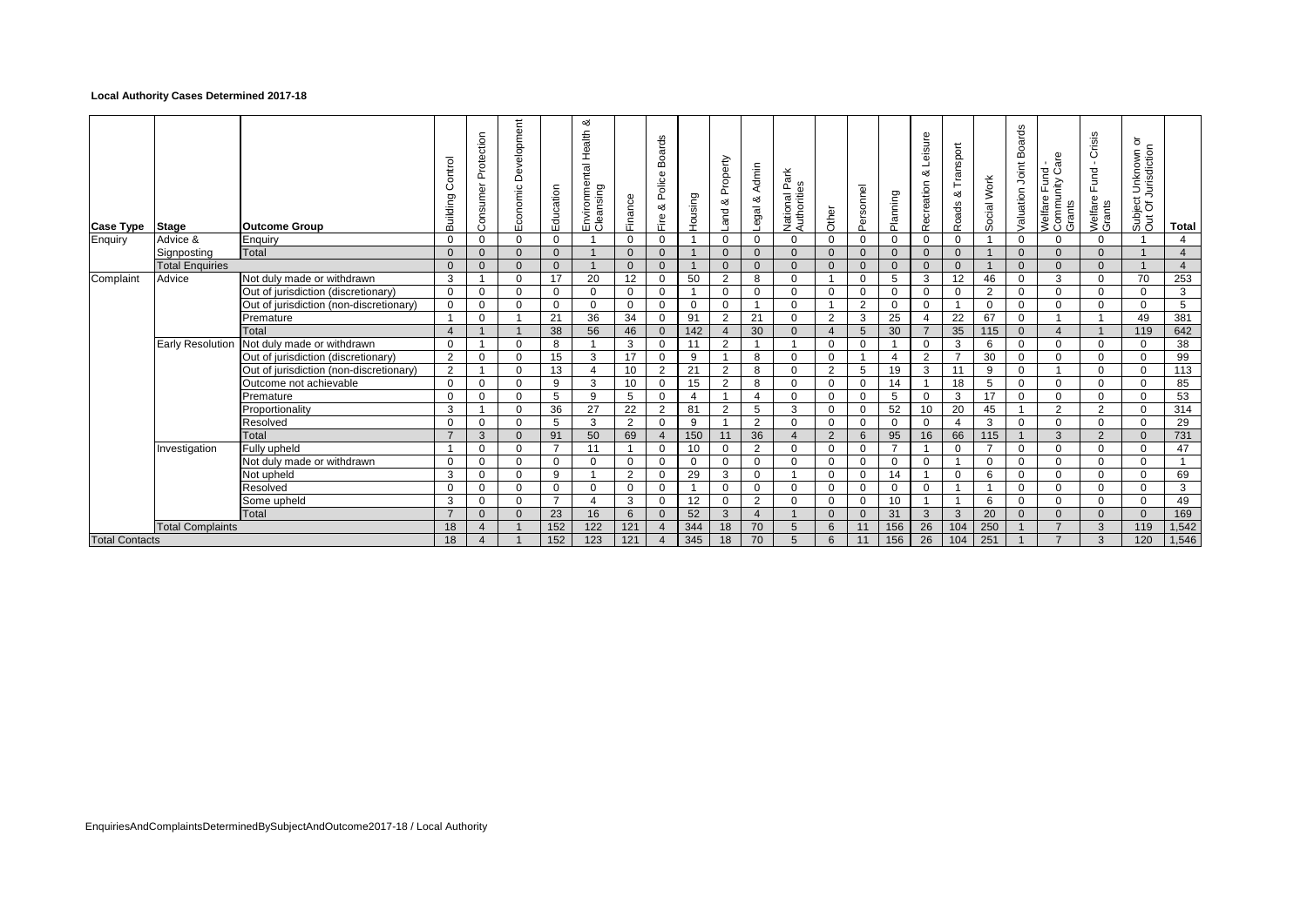### **Local Authority Cases Determined 2017-18**

| <b>Case Type</b>      | <b>Stage</b>            | <b>Outcome Group</b>                    | Control<br>Building | Protection<br>Consumer | Development<br>Economic | Education      | య<br>Environmental Health<br>Cleansing | Finance        | <b>Boards</b><br>Police<br>య<br>Fire | Housing     | Property<br>య<br>and    | Admin<br>య<br>Legal | Park<br>8g<br>National<br>Authoritie | Other    | Personnel      | Planning       | Leisure<br>య<br>Recreation | Transport<br>య<br>Roads | Social Work              | <b>Boards</b><br>Joint<br>Valuation | are<br>Fund<br>∩ity Co<br>Welfare Fun<br>Community<br>Grants | Crisis<br>$\mathbf{r}$<br>Fund<br>Welfare<br>Grants | ō<br>t Unknown o<br>Jurisdiction<br>Subject<br>Out Of J | <b>Total</b>   |
|-----------------------|-------------------------|-----------------------------------------|---------------------|------------------------|-------------------------|----------------|----------------------------------------|----------------|--------------------------------------|-------------|-------------------------|---------------------|--------------------------------------|----------|----------------|----------------|----------------------------|-------------------------|--------------------------|-------------------------------------|--------------------------------------------------------------|-----------------------------------------------------|---------------------------------------------------------|----------------|
| Enquiry               | Advice &                | Enquiry                                 | $\Omega$            | $\Omega$               | $\Omega$                | $\mathbf 0$    |                                        | $\Omega$       | $\Omega$                             |             | $\Omega$                | $\Omega$            | $\Omega$                             | $\Omega$ | $\Omega$       | $\Omega$       | $\Omega$                   | $\Omega$                |                          | $\Omega$                            | $\Omega$                                                     | $\Omega$                                            |                                                         | $\overline{4}$ |
|                       | Signposting             | Total                                   | $\mathbf{0}$        | $\mathbf{0}$           | $\Omega$                | $\mathbf{0}$   |                                        | $\mathbf{0}$   | $\mathbf{0}$                         |             | $\mathbf{0}$            | $\mathbf{0}$        | $\Omega$                             | $\Omega$ | $\mathbf{0}$   | $\mathbf{0}$   | $\mathbf{0}$               | $\mathbf{0}$            |                          | $\Omega$                            | $\Omega$                                                     | 0                                                   |                                                         | $\overline{4}$ |
|                       | <b>Total Enquiries</b>  |                                         | $\mathbf{0}$        | $\Omega$               | $\Omega$                | $\Omega$       |                                        | $\mathbf{0}$   | $\Omega$                             |             | $\Omega$                | $\Omega$            | $\Omega$                             | $\Omega$ | $\Omega$       | $\overline{0}$ | $\Omega$                   | $\Omega$                | $\overline{1}$           | $\Omega$                            | $\Omega$                                                     | $\Omega$                                            |                                                         | $\overline{4}$ |
| Complaint             | Advice                  | Not duly made or withdrawn              | 3                   |                        | $\Omega$                | 17             | 20                                     | 12             | $\mathbf 0$                          | 50          | 2                       | 8                   | $\Omega$                             |          | 0              | 5              | 3                          | 12                      | 46                       | $\Omega$                            | 3                                                            | 0                                                   | 70                                                      | 253            |
|                       |                         | Out of jurisdiction (discretionary)     | $\mathbf 0$         | $\Omega$               | $\Omega$                | $\mathbf{0}$   | $\Omega$                               | $\Omega$       | $\mathbf 0$                          |             | $\Omega$                | $\Omega$            | $\Omega$                             | $\Omega$ | $\mathbf{0}$   | $\Omega$       | $\mathbf 0$                | $\Omega$                | $\overline{2}$           | $\Omega$                            | $\Omega$                                                     | $\Omega$                                            | $\Omega$                                                | 3              |
|                       |                         | Out of jurisdiction (non-discretionary) | $\mathbf 0$         | $\mathbf 0$            | $\Omega$                | $\mathbf 0$    | $\mathbf 0$                            | 0              | $\mathbf 0$                          | $\mathbf 0$ | $\mathbf 0$             |                     | $\mathbf 0$                          |          | $\overline{2}$ | 0              | $\mathbf 0$                | -1                      | $\mathbf 0$              | $\Omega$                            | $\Omega$                                                     | $\Omega$                                            | $\Omega$                                                | 5              |
|                       |                         | Premature                               |                     | $\Omega$               |                         | 21             | 36                                     | 34             | $\mathbf 0$                          | 91          | 2                       | 21                  | $\Omega$                             | 2        | 3              | 25             | 4                          | 22                      | 67                       | $\Omega$                            |                                                              |                                                     | 49                                                      | 381            |
|                       |                         | Total                                   | $\overline{4}$      |                        |                         | 38             | 56                                     | 46             | $\Omega$                             | 142         | 4                       | 30                  | $\Omega$                             | $\Delta$ | 5              | 30             | $\overline{7}$             | 35                      | 115                      | $\Omega$                            | $\Delta$                                                     |                                                     | 119                                                     | 642            |
|                       | Early Resolution        | Not duly made or withdrawn              | $\mathbf 0$         |                        | $\Omega$                | 8              |                                        | 3              | 0                                    | 11          | 2                       |                     |                                      | $\Omega$ | 0              |                | $\mathbf 0$                | 3                       | 6                        | $\Omega$                            | $\Omega$                                                     | $\Omega$                                            | $\Omega$                                                | 38             |
|                       |                         | Out of jurisdiction (discretionary)     | 2                   | $\Omega$               | $\Omega$                | 15             | 3                                      | 17             | $\Omega$                             | 9           | -1                      | 8                   | $\Omega$                             | $\Omega$ |                | $\overline{4}$ | 2                          | $\overline{7}$          | 30                       | $\Omega$                            | $\Omega$                                                     | $\Omega$                                            | $\Omega$                                                | 99             |
|                       |                         | Out of jurisdiction (non-discretionary) | $\overline{2}$      |                        | $\Omega$                | 13             |                                        | 10             | 2                                    | 21          | 2                       | 8                   | $\Omega$                             | 2        | 5              | 19             | 3                          | 11                      | 9                        | $\Omega$                            |                                                              | $\Omega$                                            | $\Omega$                                                | 113            |
|                       |                         | Outcome not achievable                  | $\mathbf 0$         | 0                      | $\Omega$                | 9              | 3                                      | 10             | $\mathbf 0$                          | 15          | 2                       | 8                   | $\Omega$                             | $\Omega$ | 0              | 14             | -1                         | 18                      | 5                        | $\Omega$                            | $\Omega$                                                     | $\Omega$                                            | $\Omega$                                                | 85             |
|                       |                         | Premature                               | $\mathbf 0$         | $\Omega$               | $\Omega$                | 5              | 9                                      | 5              | $\Omega$                             |             | -1                      |                     | $\Omega$                             | $\Omega$ | 0              | 5              | $\mathbf 0$                | 3                       | 17                       | $\Omega$                            | $\Omega$                                                     | $\Omega$                                            | $\Omega$                                                | 53             |
|                       |                         | Proportionality                         | 3                   |                        | $\Omega$                | 36             | 27                                     | 22             | 2                                    | 81          | $\overline{2}$          | 5                   | 3                                    | $\Omega$ | 0              | 52             | 10                         | 20                      | 45                       |                                     | 2                                                            | $\overline{2}$                                      | $\Omega$                                                | 314            |
|                       |                         | Resolved                                | 0                   | 0                      | $\Omega$                | 5              | 3                                      | $\overline{2}$ | $\Omega$                             | 9           | $\overline{\mathbf{A}}$ | 2                   | $\Omega$                             | $\Omega$ | $\Omega$       | $\mathbf{0}$   | $\mathbf 0$                | 4                       | 3                        | $\Omega$                            | $\Omega$                                                     | $\Omega$                                            | $\Omega$                                                | 29             |
|                       |                         | Total                                   | $\overline{7}$      | 3                      | $\Omega$                | 91             | 50                                     | 69             | $\overline{4}$                       | 150         |                         | 36                  |                                      | 2        | 6              | 95             | 16                         | 66                      | 115                      |                                     | 3                                                            | $\overline{2}$                                      | $\Omega$                                                | 731            |
|                       | Investigation           | Fully upheld                            |                     | $\Omega$               | $\Omega$                | $\overline{7}$ | 11                                     | -1             | $\mathbf 0$                          | 10          | $\Omega$                | 2                   | $\Omega$                             | $\Omega$ | 0              | $\overline{7}$ | 1                          | $\Omega$                | $\overline{7}$           | $\Omega$                            | $\Omega$                                                     | $\Omega$                                            | $\Omega$                                                | 47             |
|                       |                         | Not duly made or withdrawn              | $\mathbf 0$         | $\mathbf 0$            | $\Omega$                | $\mathbf{0}$   | $\mathbf 0$                            | $\mathbf 0$    | $\mathbf 0$                          | $\mathbf 0$ | $\mathbf 0$             | $\mathbf 0$         | $\Omega$                             | $\Omega$ | 0              | $\mathbf{0}$   | $\mathbf 0$                | -1                      | $\mathbf 0$              | $\Omega$                            | $\Omega$                                                     | 0                                                   | $\Omega$                                                |                |
|                       |                         | Not upheld                              | 3                   | 0                      | $\Omega$                | 9              |                                        | $\overline{2}$ | $\Omega$                             | 29          | 3                       | $\Omega$            |                                      | $\Omega$ | 0              | 14             | $\overline{ }$             | $\Omega$                | 6                        | O                                   | $\Omega$                                                     | 0                                                   | $\Omega$                                                | 69             |
|                       |                         | Resolved                                | $\mathbf 0$         | $\mathbf 0$            | $\Omega$                | $\mathbf{0}$   | $\mathbf 0$                            | $\mathbf 0$    | $\mathbf 0$                          |             | $\mathbf 0$             | $\mathbf 0$         | $\Omega$                             | $\Omega$ | $\mathbf 0$    | $\mathbf{0}$   | $\mathbf 0$                | -1                      | $\overline{\phantom{0}}$ | $\Omega$                            | $\Omega$                                                     | 0                                                   | $\Omega$                                                | 3              |
|                       |                         | Some upheld                             | 3                   | $\Omega$               | $\Omega$                | $\overline{7}$ | $\Delta$                               | 3              | 0                                    | 12          | $\Omega$                | 2                   | $\Omega$                             | $\Omega$ | 0              | 10             | 1                          | -1                      | 6                        | $\Omega$                            | $\Omega$                                                     | $\Omega$                                            | $\Omega$                                                | 49             |
|                       |                         | Total                                   | $\overline{7}$      | $\Omega$               | $\Omega$                | 23             | 16                                     | 6              | $\mathbf{0}$                         | 52          | 3                       | $\overline{4}$      |                                      | $\Omega$ | $\Omega$       | 31             | 3                          | 3                       | 20                       | $\Omega$                            | $\Omega$                                                     | $\Omega$                                            | $\Omega$                                                | 169            |
|                       | <b>Total Complaints</b> |                                         | 18                  |                        |                         | 152            | 122                                    | 121            |                                      | 344         | 18                      | 70                  | 5                                    | 6        |                | 156            | 26                         | 104                     | 250                      |                                     | $\overline{7}$                                               | 3                                                   | 119                                                     | 1,542          |
| <b>Total Contacts</b> |                         |                                         | 18                  | $\boldsymbol{\Delta}$  |                         | 152            | 123                                    | 121            | $\overline{4}$                       | 345         | 18                      | 70                  | 5                                    | 6        | 11             | 156            | 26                         | 104                     | 251                      |                                     | $\overline{z}$                                               | 3                                                   | 120                                                     | 1,546          |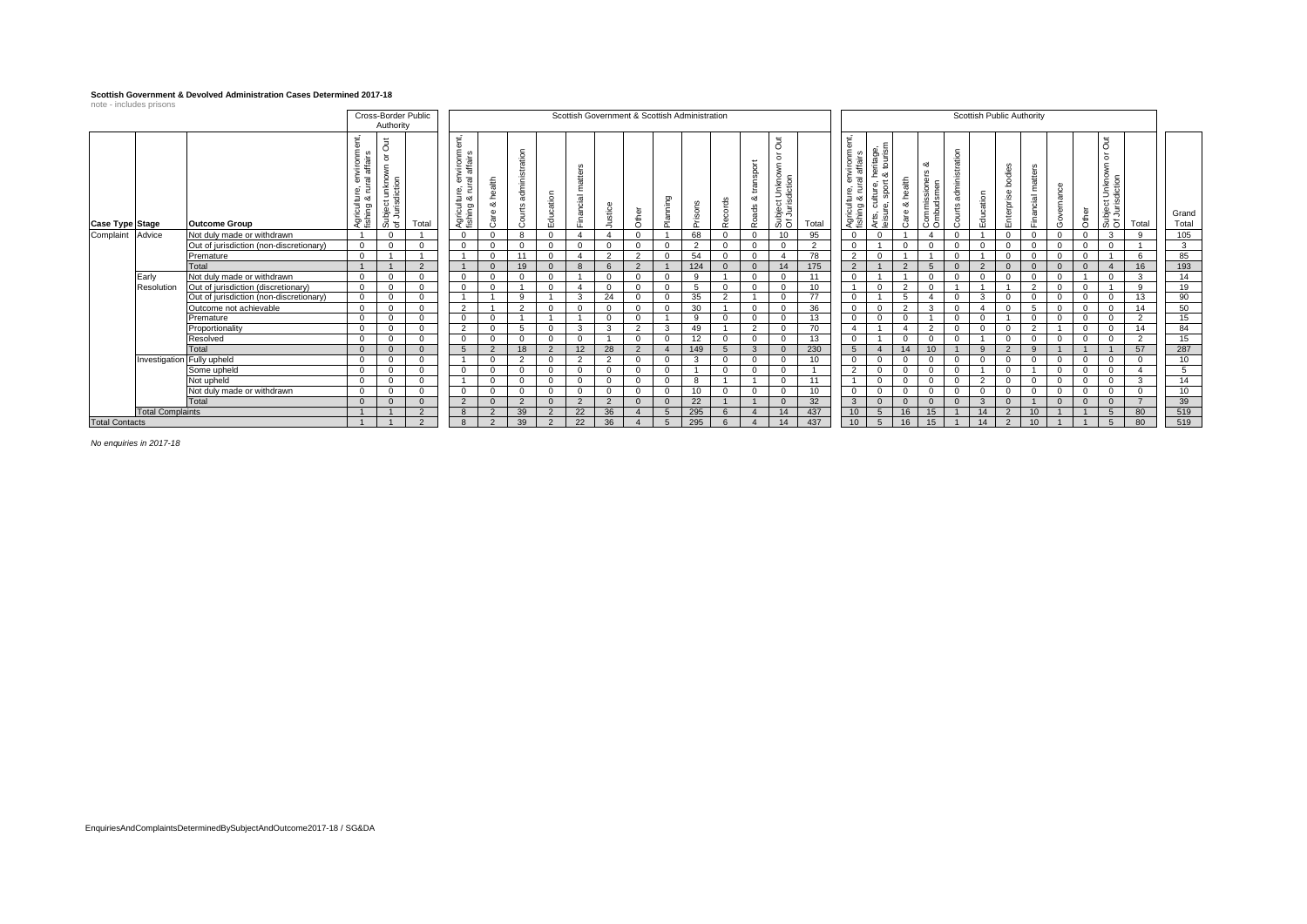#### **Scottish Government & Devolved Administration Cases Determined 2017-18**

| note - includes prisons |                            |                                         |                                                                                                        | Authority                                         | Cross-Border Public |                                                                       |                              |                         |               |                    |               |                          |                 | Scottish Government & Scottish Administration |                                |                               |                                                        |                |                                                                                        |                                                                      |                      |                                                          |                         | Scottish Public Authority |                                 |                     |             |          |                                                                        |                |                |
|-------------------------|----------------------------|-----------------------------------------|--------------------------------------------------------------------------------------------------------|---------------------------------------------------|---------------------|-----------------------------------------------------------------------|------------------------------|-------------------------|---------------|--------------------|---------------|--------------------------|-----------------|-----------------------------------------------|--------------------------------|-------------------------------|--------------------------------------------------------|----------------|----------------------------------------------------------------------------------------|----------------------------------------------------------------------|----------------------|----------------------------------------------------------|-------------------------|---------------------------|---------------------------------|---------------------|-------------|----------|------------------------------------------------------------------------|----------------|----------------|
| <b>Case Type Stage</b>  |                            | <b>Outcome Group</b>                    | ť<br>hvironm<br>affairs<br>$\overline{\mathfrak{w}}$<br>$\omega$<br>ture,<br>ంర<br>Agricult<br>fishing | $\equiv$<br>O<br>ਠ<br>unkno<br>Subjec<br>of Juris | Total               | ent,<br>ulture, environme<br>g & rural affairs<br>Agricult<br>fishing | health<br>య<br>are<br>$\sim$ | administration<br>ourts | Education     | matters<br>nancial | stice         | $\overline{\omega}$<br>흉 | <b>Prinning</b> | ga                                            | cords<br>- 0<br>$\tilde{\sim}$ | trans<br>ಯ<br>g<br>$\tilde{}$ | Ō<br>$\circ$<br>ş<br>Subject Unknov<br>Of Jurisdiction | Total          | environment,<br>ral affairs<br>ulture,<br>g & rur<br>Agricult<br>fishing               | eritage,<br>ktourisn<br>≝ ∝<br>ulture, l<br>, sport<br>రల<br>Arts, a | health<br>ಂಶ<br>Care | ంర<br>$\omega$<br>ို<br>e<br>-sior<br>Commiss<br>Ombudsı | administration<br>ourts | ducation                  | odies<br>ᇫ<br>interprise<br>111 | မ္မ<br>matt<br>cial | emance      | ৯<br>है  | $\equiv$<br>Ō<br>৳<br>ş<br>Unknov<br>diction<br>Subject I<br>Of Jurisc | Total          | Grand<br>Total |
| Complaint Advice        |                            | Not duly made or withdrawn              |                                                                                                        | $\overline{0}$                                    |                     | $^{\circ}$                                                            | $\Omega$                     | $\circ$                 | $\Omega$      |                    |               |                          |                 | 68                                            |                                | $\Omega$                      | 10 <sup>1</sup>                                        | 95             |                                                                                        | $\Omega$                                                             |                      |                                                          |                         |                           |                                 | $\Omega$            | $\Omega$    |          | 3                                                                      | $\Omega$       | 105            |
|                         |                            | Out of jurisdiction (non-discretionary) | $\Omega$                                                                                               | $\overline{0}$                                    |                     | $\mathbf{0}$                                                          | $\Omega$                     | $\Omega$                | $\Omega$      | $\Omega$           | $\Omega$      |                          |                 | $\Omega$                                      |                                | $\Omega$                      |                                                        | $\overline{2}$ | $\Omega$                                                                               |                                                                      | $\Omega$             |                                                          |                         |                           |                                 | $\Omega$            | $\Omega$    |          |                                                                        |                | 3              |
|                         |                            | Premature                               | $\Omega$                                                                                               |                                                   |                     | $\overline{1}$                                                        | $\Omega$                     | 11                      | $\Omega$      |                    | $\mathcal{P}$ | 2                        | $\Omega$        | 54                                            |                                | $\Omega$                      |                                                        | 78             | 2                                                                                      | $\sqrt{2}$                                                           |                      |                                                          |                         |                           | $\Omega$                        | $\Omega$            | $\Omega$    | $\Omega$ |                                                                        | 6              | 85             |
|                         |                            | Total                                   |                                                                                                        |                                                   | $\overline{2}$      |                                                                       | $\Omega$                     | 19                      | $\Omega$      | $\mathbf{R}$       |               | $\mathcal{D}$            |                 | 124                                           |                                | $\Omega$                      | 14                                                     | 175            | $\overline{2}$                                                                         |                                                                      | $\mathcal{P}$        |                                                          |                         |                           |                                 | $\Omega$            | $\Omega$    |          | $\overline{A}$                                                         | 16             | 193            |
|                         | Early                      | Not duly made or withdrawn              | $\Omega$                                                                                               | $\overline{0}$                                    | $\Omega$            | $\mathbf{0}$                                                          | $\Omega$                     | $\Omega$                | $\Omega$      |                    | $\Omega$      |                          |                 | $\mathbf{q}$                                  |                                | $\Omega$                      |                                                        | 11             | $\Omega$                                                                               |                                                                      |                      |                                                          |                         |                           |                                 | $\Omega$            | $\Omega$    |          |                                                                        | -3             | 14             |
|                         | Resolution                 | Out of jurisdiction (discretionary)     | $\Omega$                                                                                               | $\Omega$                                          | $\Omega$            | $^{\circ}$                                                            | $\Omega$                     |                         | $\Omega$      |                    | $\Omega$      |                          |                 |                                               |                                | $\Omega$                      |                                                        | 10             |                                                                                        | $\sim$                                                               | $\overline{2}$       |                                                          |                         |                           |                                 | $\overline{2}$      | $\Omega$    |          |                                                                        | $\mathbf{q}$   | 19             |
|                         |                            | Out of jurisdiction (non-discretionary) | $^{\circ}$                                                                                             | $\overline{0}$                                    | $\Omega$            | $\overline{1}$                                                        |                              | 9                       |               | 3                  | 24            | $\Omega$                 |                 | 35                                            | $\overline{2}$                 |                               |                                                        | 77             | $^{\circ}$                                                                             |                                                                      | 5                    |                                                          |                         | 3                         |                                 | $^{\circ}$          | $\mathbf 0$ | 0        |                                                                        | - 13           | 90             |
|                         |                            | Outcome not achievable                  | $^{\circ}$                                                                                             | $\overline{0}$                                    | $^{\circ}$          | 2                                                                     |                              | 2                       | $\Omega$      | $\Omega$           | $\Omega$      | $\Omega$                 |                 | 30                                            |                                | $\Omega$                      | $\Omega$                                               | 36             | $^{\circ}$                                                                             | $\Omega$                                                             | 2                    | 3                                                        |                         |                           |                                 | 5                   | $\Omega$    | $\Omega$ |                                                                        | 14             | 50             |
|                         |                            | Premature                               | $\mathbf{0}$                                                                                           | $\overline{0}$                                    | $\Omega$            | $\overline{0}$                                                        | $\mathbf{0}$                 |                         |               |                    | $\Omega$      | $\Omega$                 |                 | 9                                             |                                | $\Omega$                      | $\Omega$                                               | 13             | $^{\circ}$                                                                             | $\Omega$                                                             | $\Omega$             |                                                          |                         |                           |                                 | $^{\circ}$          | $^{\circ}$  | $\Omega$ | $\Omega$                                                               | $\overline{2}$ | 15             |
|                         |                            | Proportionality                         | $\Omega$                                                                                               | $\overline{0}$                                    | $\mathbf 0$         | $\overline{2}$                                                        | $\Omega$                     | 5                       | $\Omega$      | 3                  | 3             | $\overline{2}$           | 3               | 49                                            |                                | 2                             |                                                        | 70             | $\overline{4}$                                                                         |                                                                      |                      | ີ                                                        |                         | <sup>o</sup>              |                                 | 2                   |             | $\Omega$ |                                                                        | 14             | 84             |
|                         |                            | Resolved                                | $\Omega$                                                                                               | $\overline{0}$                                    | $\Omega$            | $\mathbf{0}$                                                          | $\Omega$                     | $\sim$                  | $\Omega$      | $\Omega$           |               |                          |                 | 12                                            |                                | $\Omega$                      |                                                        | 13             | $\Omega$                                                                               |                                                                      | $\Omega$             |                                                          |                         |                           |                                 | $\Omega$            | $\Omega$    |          |                                                                        | $\Omega$       | 15             |
|                         |                            | Total                                   | $\Omega$                                                                                               | $\Omega$                                          | $\Omega$            | 5                                                                     | 2                            | 18                      | 2             | 12                 | 28            | $\Omega$                 |                 | 149                                           |                                | $\mathbf{B}$                  |                                                        | 230            | $5^{\circ}$                                                                            |                                                                      | 14                   |                                                          |                         | $\Omega$                  | $\mathcal{L}$                   | 9                   |             |          |                                                                        | 57             | 287            |
|                         | Investigation Fully upheld |                                         | $\Omega$                                                                                               | $\overline{0}$                                    | $\Omega$            | $\overline{1}$                                                        | $\Omega$                     | 2                       | $\Omega$      | $\mathcal{P}$      | 2             | $\Omega$                 | $\Omega$        | $\mathbf{3}$                                  |                                | $\Omega$                      | $\Omega$                                               | 10             | $^{\circ}$                                                                             | $\cap$                                                               | $\Omega$             | $\Omega$                                                 | $\Omega$                | $\Omega$                  | $\Omega$                        | $\Omega$            | $\Omega$    | $\Omega$ |                                                                        | $\Omega$       | 10             |
|                         |                            | Some upheld                             | $\Omega$                                                                                               | $\Omega$                                          | $\Omega$            | $\Omega$                                                              | $\Omega$                     | $\Omega$                | $\Omega$      | $\Omega$           | $\Omega$      | $\Omega$                 | $\Omega$        |                                               |                                | $\Omega$                      | $\Omega$                                               |                | 2                                                                                      | $\Omega$                                                             | $\Omega$             |                                                          |                         |                           | $\Omega$                        |                     | $\Omega$    | $\Omega$ | $\Omega$                                                               |                | -5             |
|                         |                            | Not upheld                              | $\Omega$                                                                                               | $\Omega$                                          | $\Omega$            |                                                                       | $\Omega$                     | $\Omega$                | $\Omega$      | $\Omega$           | $\Omega$      |                          |                 | 8                                             |                                |                               |                                                        | 11             |                                                                                        | $\Omega$                                                             | $\Omega$             |                                                          |                         | $\sim$                    |                                 | $\Omega$            | $\Omega$    |          |                                                                        | -3             | 14             |
|                         |                            | Not duly made or withdrawn              | $\Omega$                                                                                               | $\overline{0}$                                    |                     | $^{\circ}$                                                            | $\Omega$                     |                         | $\Omega$      | $\Omega$           | $\Omega$      |                          |                 | 10                                            |                                |                               |                                                        | 10             | $\Omega$                                                                               | $\sim$                                                               | $\Omega$             |                                                          |                         |                           |                                 | $\Omega$            | $\Omega$    |          |                                                                        | $\Omega$       | 10             |
|                         |                            | Total                                   | $\Omega$                                                                                               | $\Omega$                                          | $\Omega$            | 2                                                                     | $\Omega$                     | $\mathcal{P}$           | $\Omega$      | $\mathcal{P}$      | $\mathcal{L}$ |                          |                 | 22                                            |                                |                               |                                                        | 32             | $\mathbf{3}$                                                                           | $\Omega$                                                             | $\Omega$             |                                                          |                         | $\mathcal{R}$             |                                 |                     | $\Omega$    |          | $\Omega$                                                               |                | 39             |
|                         | <b>Total Complaints</b>    |                                         |                                                                                                        |                                                   | $\mathcal{D}$       | 8                                                                     | $\Omega$                     | 39                      | $\Omega$      | 22                 | 36            |                          |                 | 295                                           |                                |                               |                                                        | 437            | 10                                                                                     | $5^{\circ}$                                                          | 16                   | 15                                                       |                         | 14                        | $\mathcal{L}$                   | 10                  |             |          | $\sqrt{2}$                                                             | 80             | 519            |
| <b>Total Contacts</b>   |                            |                                         |                                                                                                        |                                                   | $\overline{2}$      | 8                                                                     | $\overline{2}$               | 39                      | $\mathcal{P}$ | 22                 | 36            |                          |                 | 295                                           |                                |                               | 14                                                     | 437            | 10<br>80<br>5 <sup>5</sup><br>16<br>14<br>15 <sup>15</sup><br>$\mathcal{P}$<br>10<br>5 |                                                                      |                      |                                                          |                         |                           |                                 |                     | 519         |          |                                                                        |                |                |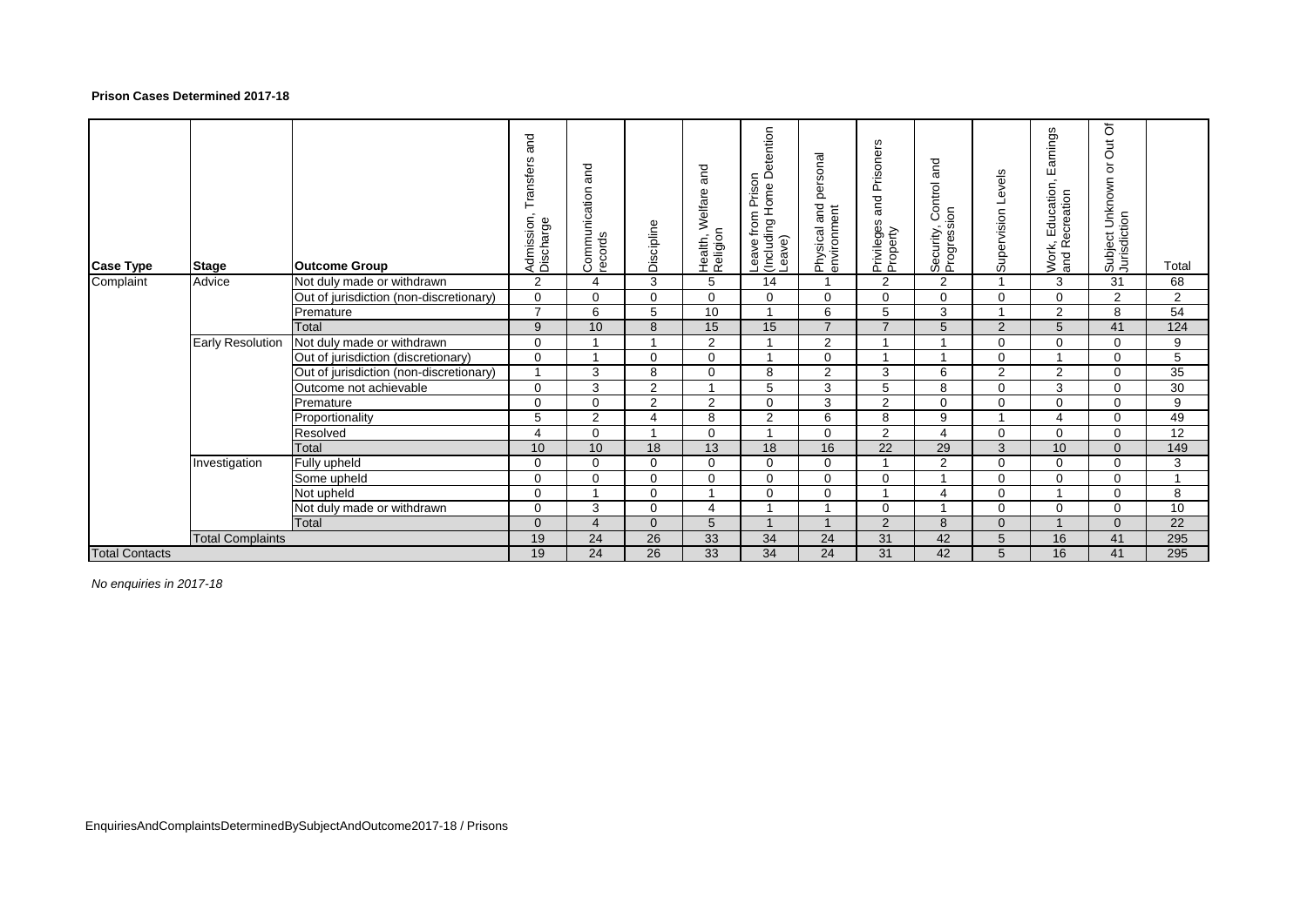## **Prison Cases Determined 2017-18**

| <b>Case Type</b>      | <b>Stage</b>            | <b>Outcome Group</b>                    | and<br><b>Transfers</b><br>Admission,<br>Discharge | and<br>Communication a | Discipline     | and<br>Welfare<br>Health, V<br>Religion | etention<br>≏<br>Prison<br>Home<br>from<br>Leave from<br>(Including l<br>Leave) | personal<br>Physical and<br>environment | Prisoners<br>$\frac{1}{2}$<br>Privileges<br>Property | and<br>Control<br>Security, Cor<br>Progression | Levels<br>Supervision | Earnings<br>$\overline{\phantom{a}}$<br>Education<br>ecreation<br>and Re<br>Work, | Out Of<br>Subject Unknown or<br>Jurisdiction | Total           |
|-----------------------|-------------------------|-----------------------------------------|----------------------------------------------------|------------------------|----------------|-----------------------------------------|---------------------------------------------------------------------------------|-----------------------------------------|------------------------------------------------------|------------------------------------------------|-----------------------|-----------------------------------------------------------------------------------|----------------------------------------------|-----------------|
| Complaint             | Advice                  | Not duly made or withdrawn              | 2                                                  | 4                      | 3              | 5                                       | 14                                                                              |                                         | 2                                                    | $\overline{2}$                                 |                       | 3                                                                                 | 31                                           | 68              |
|                       |                         | Out of jurisdiction (non-discretionary) | $\mathbf 0$                                        | $\Omega$               | $\Omega$       | $\Omega$                                | $\Omega$                                                                        | $\Omega$                                | $\mathbf 0$                                          | $\Omega$                                       | $\Omega$              | $\Omega$                                                                          | $\overline{2}$                               | $\overline{2}$  |
|                       |                         | Premature                               | $\overline{7}$                                     | 6                      | 5              | 10                                      |                                                                                 | 6                                       | 5                                                    | 3                                              |                       | $\overline{2}$                                                                    | 8                                            | $\overline{54}$ |
|                       |                         | Total                                   | 9                                                  | 10                     | 8              | 15                                      | 15                                                                              | $\overline{7}$                          | $\overline{7}$                                       | 5                                              | $\mathcal{P}$         | 5                                                                                 | 41                                           | 124             |
|                       | <b>Early Resolution</b> | Not duly made or withdrawn              | 0                                                  |                        |                | $\overline{2}$                          |                                                                                 | 2                                       |                                                      |                                                | 0                     | 0                                                                                 | $\Omega$                                     | 9               |
|                       |                         | Out of jurisdiction (discretionary)     | 0                                                  |                        | 0              | $\Omega$                                |                                                                                 | $\mathbf 0$                             |                                                      |                                                | $\Omega$              |                                                                                   | $\Omega$                                     | 5               |
|                       |                         | Out of jurisdiction (non-discretionary) |                                                    | 3                      | 8              | $\Omega$                                | 8                                                                               | 2                                       | 3                                                    | 6                                              | 2                     | $\overline{2}$                                                                    | $\Omega$                                     | 35              |
|                       |                         | Outcome not achievable                  | $\mathbf 0$                                        | 3                      | 2              |                                         | 5                                                                               | 3                                       | 5                                                    | 8                                              | $\Omega$              | 3                                                                                 | $\Omega$                                     | 30              |
|                       |                         | Premature                               | 0                                                  | $\Omega$               | $\overline{2}$ | $\overline{2}$                          | $\Omega$                                                                        | 3                                       | $\overline{2}$                                       | $\Omega$                                       | $\Omega$              | $\Omega$                                                                          | $\Omega$                                     | 9               |
|                       |                         | Proportionality                         | 5                                                  | 2                      | Δ              | 8                                       | $\overline{2}$                                                                  | 6                                       | 8                                                    | 9                                              |                       | Δ                                                                                 | $\Omega$                                     | 49              |
|                       |                         | Resolved                                | 4                                                  | $\Omega$               |                | $\Omega$                                |                                                                                 | $\Omega$                                | 2                                                    | 4                                              | $\Omega$              | $\Omega$                                                                          | $\Omega$                                     | 12              |
|                       |                         | Total                                   | 10                                                 | 10                     | 18             | 13                                      | 18                                                                              | 16                                      | $\overline{22}$                                      | 29                                             | 3                     | 10 <sup>1</sup>                                                                   | $\Omega$                                     | 149             |
|                       | Investigation           | Fully upheld                            | 0                                                  | $\Omega$               | $\mathbf 0$    | $\mathbf 0$                             | $\mathbf 0$                                                                     | 0                                       |                                                      | $\overline{2}$                                 | $\Omega$              | $\Omega$                                                                          | $\Omega$                                     | 3               |
|                       |                         | Some upheld                             | $\mathbf 0$                                        | $\Omega$               | $\Omega$       | $\Omega$                                | $\Omega$                                                                        | $\Omega$                                | $\Omega$                                             | 1                                              | $\Omega$              | $\Omega$                                                                          | $\Omega$                                     | $\overline{A}$  |
|                       |                         | Not upheld                              | 0                                                  |                        | $\Omega$       |                                         | $\Omega$                                                                        | $\Omega$                                |                                                      | 4                                              | $\Omega$              |                                                                                   | $\Omega$                                     | 8               |
|                       |                         | Not duly made or withdrawn              | $\mathbf 0$                                        | 3                      | $\Omega$       | $\overline{A}$                          |                                                                                 | 4                                       | $\Omega$                                             |                                                | $\Omega$              | $\Omega$                                                                          | $\Omega$                                     | $\overline{10}$ |
|                       |                         | Total                                   | $\overline{0}$                                     | $\overline{4}$         | $\Omega$       | 5                                       |                                                                                 |                                         | 2                                                    | 8                                              | $\Omega$              |                                                                                   | $\Omega$                                     | 22              |
|                       | <b>Total Complaints</b> |                                         | 19                                                 | 24                     | 26             | $\overline{33}$                         | 34                                                                              | 24                                      | 31                                                   | 42                                             | 5                     | 16                                                                                | 41                                           | 295             |
| <b>Total Contacts</b> |                         |                                         | 19                                                 | 24                     | 26             | 33                                      | 34                                                                              | 24                                      | 31                                                   | 42                                             | 5                     | 16                                                                                | 41                                           | 295             |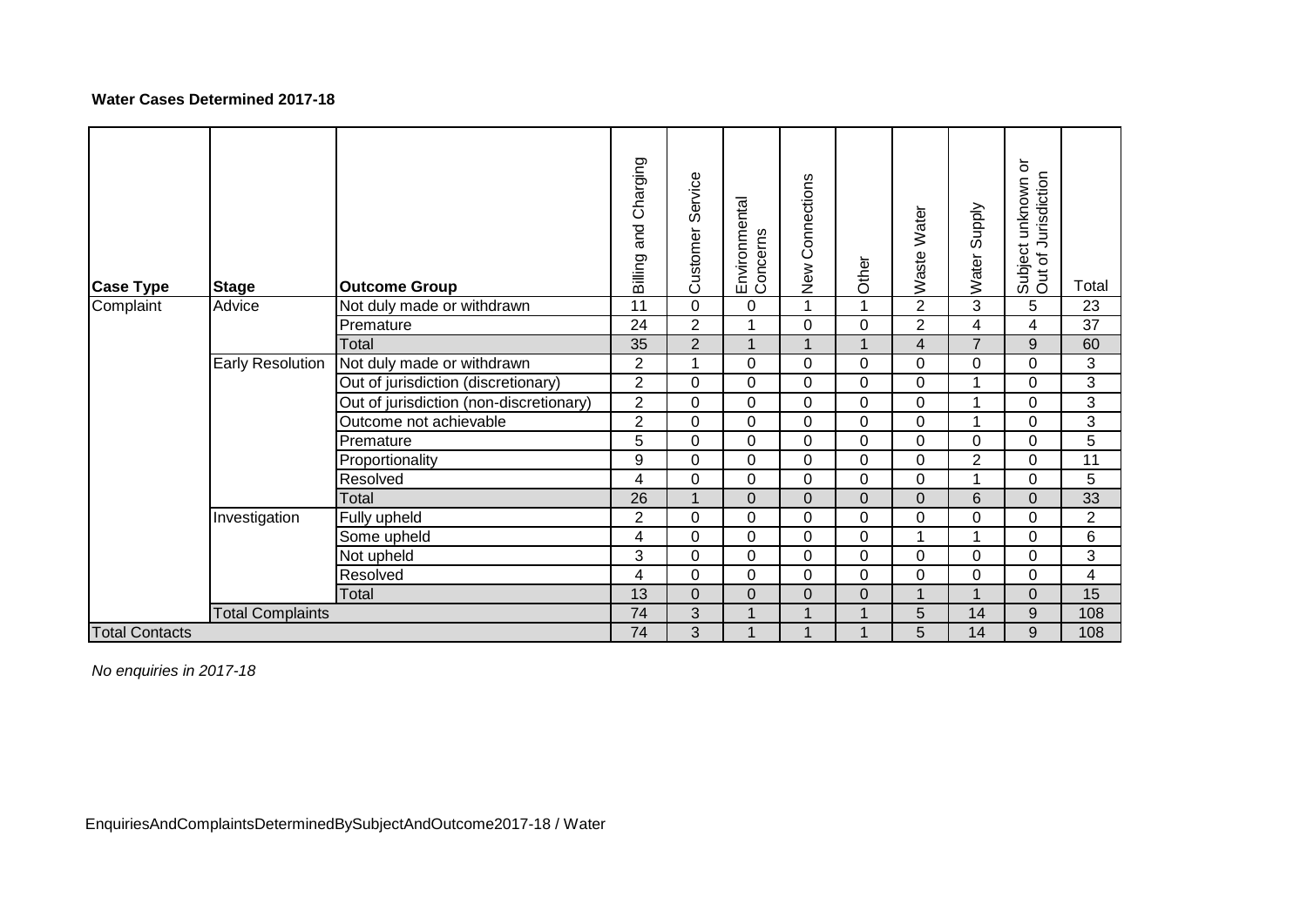# **Water Cases Determined 2017-18**

| <b>Case Type</b>      | <b>Stage</b>            | <b>Outcome Group</b>                    | and Charging<br>Billing | Service<br>Customer | Environmental<br>Concerns | New Connections | Other | Waste Water             | Water Supply   | Subject unknown or<br>Out of Jurisdiction | Total          |
|-----------------------|-------------------------|-----------------------------------------|-------------------------|---------------------|---------------------------|-----------------|-------|-------------------------|----------------|-------------------------------------------|----------------|
| Complaint             | Advice                  | Not duly made or withdrawn              | 11                      | $\mathbf 0$         | 0                         |                 |       | $\overline{2}$          | 3              | 5                                         | 23             |
|                       |                         | Premature                               | 24                      | $\overline{2}$      |                           | 0               | 0     | $\overline{c}$          | 4              | 4                                         | 37             |
|                       |                         | Total                                   | 35                      | $\overline{c}$      | $\overline{A}$            |                 |       | $\overline{\mathbf{4}}$ | $\overline{7}$ | $\boldsymbol{9}$                          | 60             |
|                       | <b>Early Resolution</b> | Not duly made or withdrawn              | $\overline{2}$          | 1                   | $\Omega$                  | 0               | 0     | 0                       | 0              | $\mathbf 0$                               | 3              |
|                       |                         | Out of jurisdiction (discretionary)     | $\overline{2}$          | $\mathbf 0$         | 0                         | 0               | 0     | 0                       | 1              | 0                                         | 3              |
|                       |                         | Out of jurisdiction (non-discretionary) | $\overline{2}$          | 0                   | 0                         | 0               | 0     | 0                       | 1              | 0                                         | 3              |
|                       |                         | Outcome not achievable                  | $\overline{2}$          | $\overline{0}$      | 0                         | 0               | 0     | 0                       | 1              | 0                                         | 3              |
|                       |                         | Premature                               | 5                       | $\overline{0}$      | 0                         | 0               | 0     | 0                       | 0              | $\mathbf 0$                               | 5              |
|                       |                         | Proportionality                         | 9                       | 0                   | 0                         | 0               | 0     | 0                       | $\overline{2}$ | 0                                         | 11             |
|                       |                         | Resolved                                | 4                       | 0                   | 0                         | 0               | 0     | 0                       | 1              | 0                                         | 5              |
|                       |                         | Total                                   | 26                      | $\overline{A}$      | 0                         | $\mathbf 0$     | 0     | 0                       | 6              | 0                                         | 33             |
|                       | Investigation           | Fully upheld                            | $\overline{c}$          | $\overline{0}$      | 0                         | 0               | 0     | 0                       | 0              | 0                                         | $\overline{2}$ |
|                       |                         | Some upheld                             | 4                       | $\mathbf 0$         | $\mathbf 0$               | 0               | 0     | 1                       | 1              | 0                                         | 6              |
|                       |                         | Not upheld                              | 3                       | $\mathbf 0$         | 0                         | 0               | 0     | 0                       | 0              | $\mathbf 0$                               | 3              |
|                       |                         | Resolved                                | 4                       | $\overline{0}$      | 0                         | 0               | 0     | 0                       | 0              | 0                                         | 4              |
|                       |                         | Total                                   | 13                      | 0                   | $\overline{0}$            | 0               | 0     | 1                       | $\mathbf 1$    | 0                                         | 15             |
|                       | <b>Total Complaints</b> |                                         | 74                      | 3                   | $\overline{\mathbf{A}}$   |                 | 1     | 5                       | 14             | $\boldsymbol{9}$                          | 108            |
| <b>Total Contacts</b> |                         |                                         | 74                      | 3                   | 1                         |                 |       | 5                       | 14             | $\boldsymbol{9}$                          | 108            |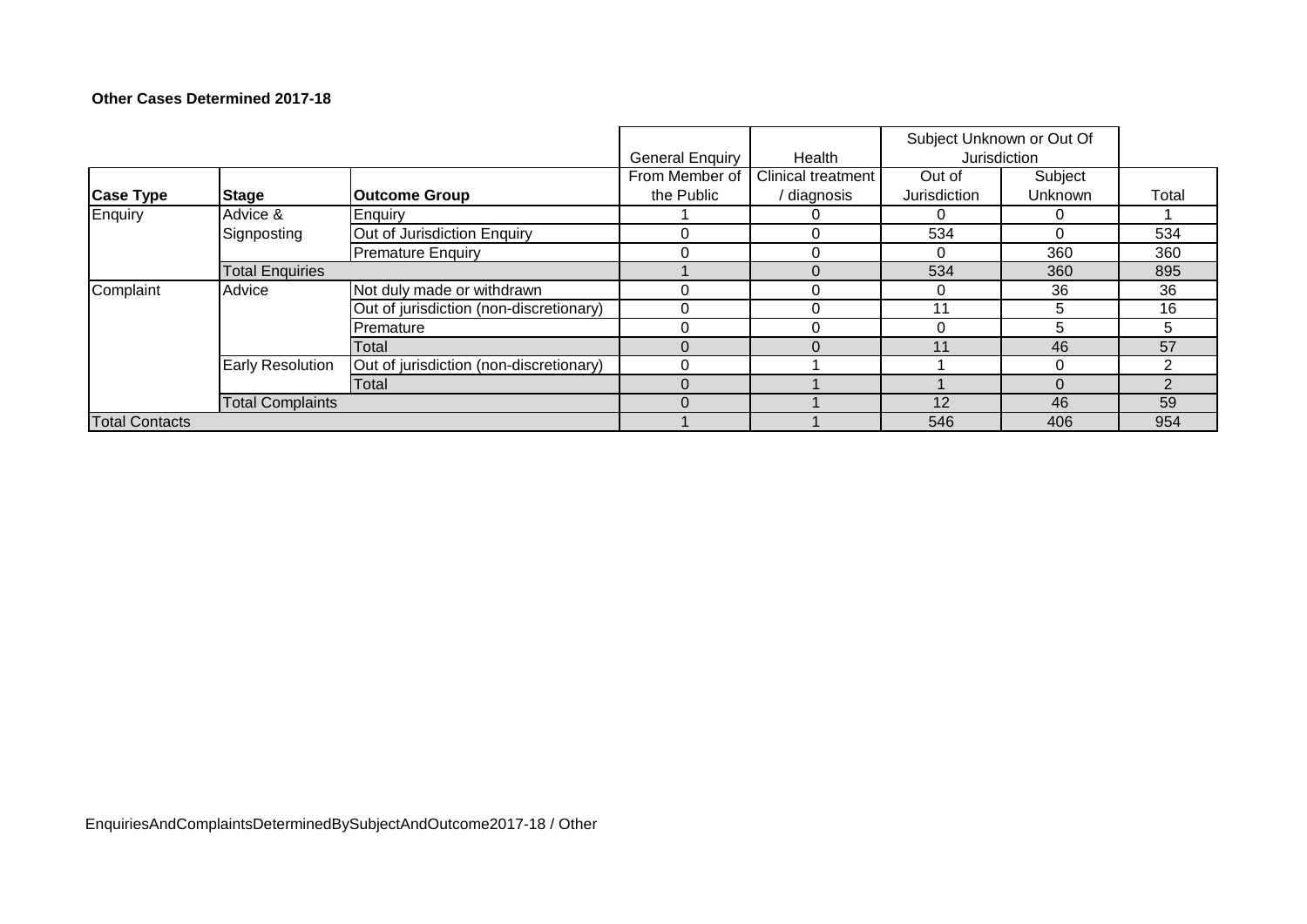# **Other Cases Determined 2017-18**

|                       |                         |                                         | <b>General Enquiry</b> | Health                    | Subject Unknown or Out Of<br>Jurisdiction |          |       |
|-----------------------|-------------------------|-----------------------------------------|------------------------|---------------------------|-------------------------------------------|----------|-------|
|                       |                         |                                         | From Member of         | <b>Clinical treatment</b> | Out of                                    | Subject  |       |
| <b>Case Type</b>      | <b>Stage</b>            | <b>Outcome Group</b>                    | the Public             | diagnosis                 | Jurisdiction                              | Unknown  | Total |
| Enquiry               | Advice &                | Enquiry                                 |                        |                           |                                           | O        |       |
|                       | Signposting             | Out of Jurisdiction Enquiry             |                        |                           | 534                                       | 0        | 534   |
|                       |                         | <b>Premature Enquiry</b>                |                        |                           | ∩                                         | 360      | 360   |
|                       | <b>Total Enquiries</b>  |                                         |                        |                           | 534                                       | 360      | 895   |
| Complaint             | Advice                  | Not duly made or withdrawn              | 0                      |                           | $\Omega$                                  | 36       | 36    |
|                       |                         | Out of jurisdiction (non-discretionary) |                        |                           | 11                                        | 5        | 16    |
|                       |                         | Premature                               | 0                      |                           | ി                                         | 5        | 5     |
|                       |                         | Total                                   | 0                      |                           | 11                                        | 46       | 57    |
|                       | <b>Early Resolution</b> | Out of jurisdiction (non-discretionary) |                        |                           |                                           | $\Omega$ |       |
|                       |                         | Total                                   | $\Omega$               |                           |                                           | $\Omega$ |       |
|                       | <b>Total Complaints</b> |                                         | 0                      |                           | 12                                        | 46       | 59    |
| <b>Total Contacts</b> |                         |                                         |                        |                           | 546                                       | 406      | 954   |